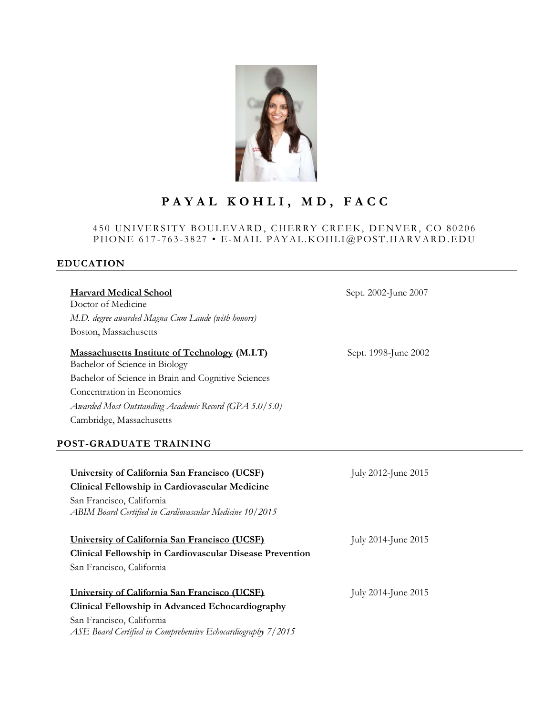

# PAYAL KOHLI, MD, FACC

#### 450 UNIVERSITY BOULEVARD, CHERRY CREEK, DENVER, CO 80206 PHONE 617-763-3827 • E-MAIL PAYAL.KOHLI@POST.HARVARD.EDU

## **EDUCATION**

# Doctor of Medicine *M.D. degree awarded Magna Cum Laude (with honors)* Boston, Massachusetts **Massachusetts Institute of Technology (M.I.T)** Sept. 1998-June 2002 Bachelor of Science in Biology

Bachelor of Science in Brain and Cognitive Sciences Concentration in Economics *Awarded Most Outstanding Academic Record (GPA 5.0/5.0)* Cambridge, Massachusetts

## **POST-GRADUATE TRAINING**

# **University of California San Francisco (UCSF)** July 2012-June 2015 **Clinical Fellowship in Cardiovascular Medicine** San Francisco, California *ABIM Board Certified in Cardiovascular Medicine 10/2015* **University of California San Francisco (UCSF)** July 2014-June 2015 **Clinical Fellowship in Cardiovascular Disease Prevention** San Francisco, California **University of California San Francisco (UCSF)** July 2014-June 2015 **Clinical Fellowship in Advanced Echocardiography** San Francisco, California *ASE Board Certified in Comprehensive Echocardiography 7/2015*

**Harvard Medical School**  Sept. 2002-June 2007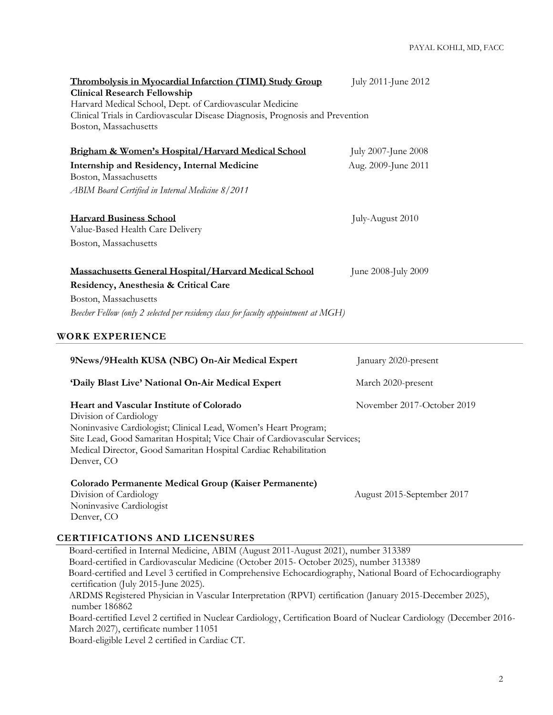| Thrombolysis in Myocardial Infarction (TIMI) Study Group<br><b>Clinical Research Fellowship</b><br>Harvard Medical School, Dept. of Cardiovascular Medicine<br>Clinical Trials in Cardiovascular Disease Diagnosis, Prognosis and Prevention<br>Boston, Massachusetts | July 2011-June 2012 |
|-----------------------------------------------------------------------------------------------------------------------------------------------------------------------------------------------------------------------------------------------------------------------|---------------------|
| Brigham & Women's Hospital/Harvard Medical School                                                                                                                                                                                                                     | July 2007-June 2008 |
| Internship and Residency, Internal Medicine<br>Boston, Massachusetts                                                                                                                                                                                                  | Aug. 2009-June 2011 |
| ABIM Board Certified in Internal Medicine 8/2011                                                                                                                                                                                                                      |                     |
| <b>Harvard Business School</b><br>Value-Based Health Care Delivery                                                                                                                                                                                                    | July-August 2010    |
| Boston, Massachusetts                                                                                                                                                                                                                                                 |                     |
| <b>Massachusetts General Hospital/Harvard Medical School</b>                                                                                                                                                                                                          | June 2008-July 2009 |
| Residency, Anesthesia & Critical Care                                                                                                                                                                                                                                 |                     |
| Boston, Massachusetts                                                                                                                                                                                                                                                 |                     |
| Beecher Fellow (only 2 selected per residency class for faculty appointment at MGH)                                                                                                                                                                                   |                     |
| <b>WORK EXPERIENCE</b>                                                                                                                                                                                                                                                |                     |

# **9News/9Health KUSA (NBC) On-Air Medical Expert** January 2020-present **'Daily Blast Live' National On-Air Medical Expert** March 2020-present **Heart and Vascular Institute of Colorado** November 2017-October 2019 Division of Cardiology Noninvasive Cardiologist; Clinical Lead, Women's Heart Program; Site Lead, Good Samaritan Hospital; Vice Chair of Cardiovascular Services; Medical Director, Good Samaritan Hospital Cardiac Rehabilitation Denver, CO **Colorado Permanente Medical Group (Kaiser Permanente)** Division of Cardiology Noninvasive Cardiologist August 2015-September 2017

# **CERTIFICATIONS AND LICENSURES**

Denver, CO

Board-certified in Internal Medicine, ABIM (August 2011-August 2021), number 313389 Board-certified in Cardiovascular Medicine (October 2015- October 2025), number 313389 Board-certified and Level 3 certified in Comprehensive Echocardiography, National Board of Echocardiography certification (July 2015-June 2025). ARDMS Registered Physician in Vascular Interpretation (RPVI) certification (January 2015-December 2025), number 186862 Board-certified Level 2 certified in Nuclear Cardiology, Certification Board of Nuclear Cardiology (December 2016- March 2027), certificate number 11051 Board-eligible Level 2 certified in Cardiac CT.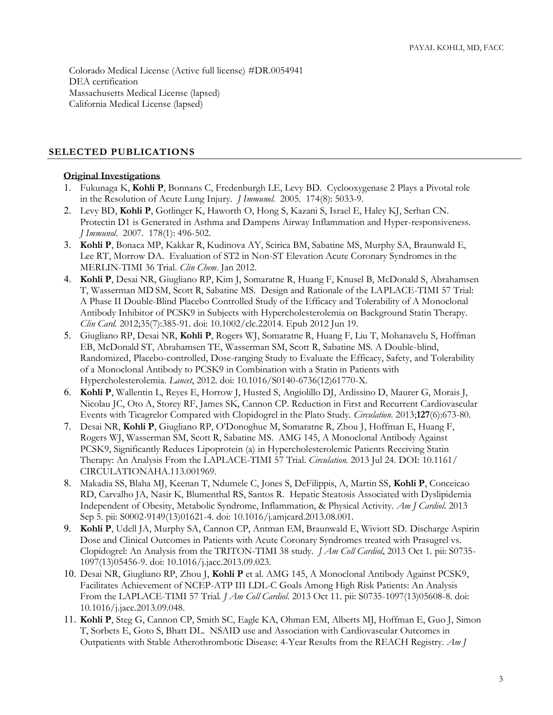Colorado Medical License (Active full license) #DR.0054941 DEA certification Massachusetts Medical License (lapsed) California Medical License (lapsed)

### **SELECTED PUBLICATIONS**

#### **Original Investigations**

- 1. Fukunaga K, **Kohli P**, Bonnans C, Fredenburgh LE, Levy BD. Cyclooxygenase 2 Plays a Pivotal role in the Resolution of Acute Lung Injury. *J Immunol*. 2005. 174(8): 5033-9.
- 2. Levy BD, **Kohli P**, Gotlinger K, Haworth O, Hong S, Kazani S, Israel E, Haley KJ, Serhan CN. Protectin D1 is Generated in Asthma and Dampens Airway Inflammation and Hyper-responsiveness. *J Immunol*. 2007. 178(1): 496-502.
- 3. **Kohli P**, Bonaca MP, Kakkar R, Kudinova AY, Scirica BM, Sabatine MS, Murphy SA, Braunwald E, Lee RT, Morrow DA. Evaluation of ST2 in Non-ST Elevation Acute Coronary Syndromes in the MERLIN-TIMI 36 Trial. *Clin Chem*. Jan 2012.
- 4. **Kohli P**, Desai NR, Giugliano RP, Kim J, Somaratne R, Huang F, Knusel B, McDonald S, Abrahamsen T, Wasserman MD SM, Scott R, Sabatine MS. Design and Rationale of the LAPLACE-TIMI 57 Trial: A Phase II Double-Blind Placebo Controlled Study of the Efficacy and Tolerability of A Monoclonal Antibody Inhibitor of PCSK9 in Subjects with Hypercholesterolemia on Background Statin Therapy. *Clin Card.* 2012;35(7):385-91. doi: 10.1002/clc.22014. Epub 2012 Jun 19.
- 5. Giugliano RP, Desai NR, **Kohli P**, Rogers WJ, Somaratne R, Huang F, Liu T, Mohanavelu S, Hoffman EB, McDonald ST, Abrahamsen TE, Wasserman SM, Scott R, Sabatine MS. A Double-blind, Randomized, Placebo-controlled, Dose-ranging Study to Evaluate the Efficacy, Safety, and Tolerability of a Monoclonal Antibody to PCSK9 in Combination with a Statin in Patients with Hypercholesterolemia. *Lancet*, 2012. doi: 10.1016/S0140-6736(12)61770-X.
- 6. **Kohli P**, Wallentin L, Reyes E, Horrow J, Husted S, Angiolillo DJ, Ardissino D, Maurer G, Morais J, Nicolau JC, Oto A, Storey RF, James SK, Cannon CP. Reduction in First and Recurrent Cardiovascular Events with Ticagrelor Compared with Clopidogrel in the Plato Study. *Circulation.* 2013;**127**(6):673-80.
- 7. Desai NR, **Kohli P**, Giugliano RP, O'Donoghue M, Somaratne R, Zhou J, Hoffman E, Huang F, Rogers WJ, Wasserman SM, Scott R, Sabatine MS. AMG 145, A Monoclonal Antibody Against PCSK9, Significantly Reduces Lipoprotein (a) in Hypercholesterolemic Patients Receiving Statin Therapy: An Analysis From the LAPLACE-TIMI 57 Trial. *Circulation.* 2013 Jul 24. DOI: 10.1161/ CIRCULATIONAHA.113.001969.
- 8. Makadia SS, Blaha MJ, Keenan T, Ndumele C, Jones S, DeFilippis, A, Martin SS, **Kohli P**, Conceicao RD, Carvalho JA, Nasir K, Blumenthal RS, Santos R. Hepatic Steatosis Associated with Dyslipidemia Independent of Obesity, Metabolic Syndrome, Inflammation, & Physical Activity. *Am J Cardiol.* 2013 Sep 5. pii: S0002-9149(13)01621-4. doi: 10.1016/j.amjcard.2013.08.001.
- 9. **Kohli P**, Udell JA, Murphy SA, Cannon CP, Antman EM, Braunwald E, Wiviott SD. Discharge Aspirin Dose and Clinical Outcomes in Patients with Acute Coronary Syndromes treated with Prasugrel vs. Clopidogrel: An Analysis from the TRITON-TIMI 38 study. *J Am Coll Cardiol*. 2013 Oct 1. pii: S0735- 1097(13)05456-9. doi: 10.1016/j.jacc.2013.09.023.
- 10. Desai NR, Giugliano RP, Zhou J, **Kohli P** et al. AMG 145, A Monoclonal Antibody Against PCSK9, Facilitates Achievement of NCEP-ATP III LDL-C Goals Among High Risk Patients: An Analysis From the LAPLACE-TIMI 57 Trial*. J Am Coll Cardiol*. 2013 Oct 11. pii: S0735-1097(13)05608-8. doi: 10.1016/j.jacc.2013.09.048.
- 11. **Kohli P**, Steg G, Cannon CP, Smith SC, Eagle KA, Ohman EM, Alberts MJ, Hoffman E, Guo J, Simon T, Sorbets E, Goto S, Bhatt DL. NSAID use and Association with Cardiovascular Outcomes in Outpatients with Stable Atherothrombotic Disease: 4-Year Results from the REACH Registry*. Am J*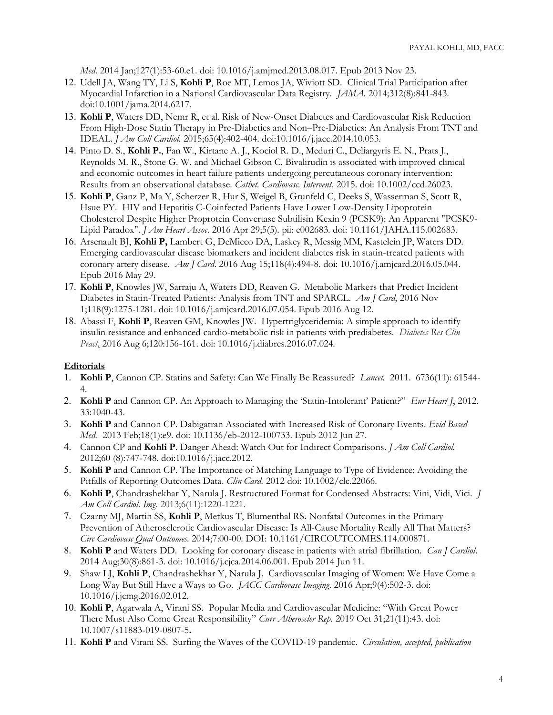*Med*. 2014 Jan;127(1):53-60.e1. doi: 10.1016/j.amjmed.2013.08.017. Epub 2013 Nov 23.

- 12. Udell JA, Wang TY, Li S, **Kohli P**, Roe MT, Lemos JA, Wiviott SD. Clinical Trial Participation after Myocardial Infarction in a National Cardiovascular Data Registry. *JAMA.* 2014;312(8):841-843. doi:10.1001/jama.2014.6217.
- 13. **Kohli P**, Waters DD, Nemr R, et al. Risk of New-Onset Diabetes and Cardiovascular Risk Reduction From High-Dose Statin Therapy in Pre-Diabetics and Non–Pre-Diabetics: An Analysis From TNT and IDEAL. *J Am Coll Cardiol.* 2015;65(4):402-404. doi:10.1016/j.jacc.2014.10.053.
- 14. Pinto D. S., **Kohli P.**, Fan W., Kirtane A. J., Kociol R. D., Meduri C., Deliargyris E. N., Prats J., Reynolds M. R., Stone G. W. and Michael Gibson C. Bivalirudin is associated with improved clinical and economic outcomes in heart failure patients undergoing percutaneous coronary intervention: Results from an observational database. *Cathet. Cardiovasc. Intervent*. 2015. doi: 10.1002/ccd.26023.
- 15. **[Kohli P](http://www.ncbi.nlm.nih.gov/pubmed/?term=Kohli%20P%5BAuthor%5D&cauthor=true&cauthor_uid=27130349)**, [Ganz P,](http://www.ncbi.nlm.nih.gov/pubmed/?term=Ganz%20P%5BAuthor%5D&cauthor=true&cauthor_uid=27130349) [Ma Y,](http://www.ncbi.nlm.nih.gov/pubmed/?term=Ma%20Y%5BAuthor%5D&cauthor=true&cauthor_uid=27130349) [Scherzer R,](http://www.ncbi.nlm.nih.gov/pubmed/?term=Scherzer%20R%5BAuthor%5D&cauthor=true&cauthor_uid=27130349) [Hur S,](http://www.ncbi.nlm.nih.gov/pubmed/?term=Hur%20S%5BAuthor%5D&cauthor=true&cauthor_uid=27130349) [Weigel B,](http://www.ncbi.nlm.nih.gov/pubmed/?term=Weigel%20B%5BAuthor%5D&cauthor=true&cauthor_uid=27130349) [Grunfeld C,](http://www.ncbi.nlm.nih.gov/pubmed/?term=Grunfeld%20C%5BAuthor%5D&cauthor=true&cauthor_uid=27130349) [Deeks S,](http://www.ncbi.nlm.nih.gov/pubmed/?term=Deeks%20S%5BAuthor%5D&cauthor=true&cauthor_uid=27130349) [Wasserman S,](http://www.ncbi.nlm.nih.gov/pubmed/?term=Wasserman%20S%5BAuthor%5D&cauthor=true&cauthor_uid=27130349) [Scott R,](http://www.ncbi.nlm.nih.gov/pubmed/?term=Scott%20R%5BAuthor%5D&cauthor=true&cauthor_uid=27130349) [Hsue PY.](http://www.ncbi.nlm.nih.gov/pubmed/?term=Hsue%20PY%5BAuthor%5D&cauthor=true&cauthor_uid=27130349) HIV and Hepatitis C-Coinfected Patients Have Lower Low-Density Lipoprotein Cholesterol Despite Higher Proprotein Convertase Subtilisin Kexin 9 (PCSK9): An Apparent "PCSK9- Lipid Paradox". *J Am Heart Assoc*. 2016 Apr 29;5(5). pii: e002683. doi: 10.1161/JAHA.115.002683.
- 16. Arsenault BJ, **Kohli P,** Lambert G, DeMicco DA, Laskey R, Messig MM, Kastelein JP, Waters DD. Emerging cardiovascular disease biomarkers and incident diabetes risk in statin-treated patients with coronary artery disease. *Am J Card*. 2016 Aug 15;118(4):494-8. doi: 10.1016/j.amjcard.2016.05.044. Epub 2016 May 29.
- 17. **Kohli P**, Knowles JW, Sarraju A, Waters DD, Reaven G. Metabolic Markers that Predict Incident Diabetes in Statin-Treated Patients: Analysis from TNT and SPARCL. *Am J Card*, 2016 Nov 1;118(9):1275-1281. doi: 10.1016/j.amjcard.2016.07.054. Epub 2016 Aug 12.
- 18. Abassi F, **Kohli P**, Reaven GM, Knowles JW. Hypertriglyceridemia: A simple approach to identify insulin resistance and enhanced cardio-metabolic risk in patients with prediabetes. *Diabetes Res Clin Pract*. 2016 Aug 6;120:156-161. doi: 10.1016/j.diabres.2016.07.024.

#### **Editorials**

- 1. **Kohli P**, Cannon CP. Statins and Safety: Can We Finally Be Reassured? *Lancet.* 2011. 6736(11): 61544- 4.
- 2. **Kohli P** and Cannon CP. An Approach to Managing the 'Statin-Intolerant' Patient?" *Eur Heart J*, 2012. 33:1040-43.
- 3. **Kohli P** and Cannon CP. Dabigatran Associated with Increased Risk of Coronary Events. *Evid Based Med.* 2013 Feb;18(1):e9. doi: 10.1136/eb-2012-100733. Epub 2012 Jun 27.
- 4. Cannon CP and **Kohli P**. Danger Ahead: Watch Out for Indirect Comparisons. *J Am Coll Cardiol.*  2012;60 (8):747-748. doi:10.1016/j.jacc.2012.
- 5. **Kohli P** and Cannon CP. The Importance of Matching Language to Type of Evidence: Avoiding the Pitfalls of Reporting Outcomes Data. *Clin Card.* 2012 doi: 10.1002/clc.22066.
- 6. **Kohli P**, Chandrashekhar Y, Narula J. Restructured Format for Condensed Abstracts: Vini, Vidi, Vici. *J Am Coll Cardiol. Img.* 2013;6(11):1220-1221.
- 7. Czarny MJ, Martin SS, **Kohli P**, Metkus T, Blumenthal RS**.** Nonfatal Outcomes in the Primary Prevention of Atherosclerotic Cardiovascular Disease: Is All-Cause Mortality Really All That Matters? *Circ Cardiovasc Qual Outcomes*. 2014;7:00-00. DOI: 10.1161/CIRCOUTCOMES.114.000871.
- 8. **Kohli P** and Waters DD. Looking for coronary disease in patients with atrial fibrillation. *Can J Cardiol*. 2014 Aug;30(8):861-3. doi: 10.1016/j.cjca.2014.06.001. Epub 2014 Jun 11.
- 9. [Shaw LJ,](http://www.ncbi.nlm.nih.gov/pubmed/?term=Shaw%20LJ%5BAuthor%5D&cauthor=true&cauthor_uid=27056169) **[Kohli P](http://www.ncbi.nlm.nih.gov/pubmed/?term=Kohli%20P%5BAuthor%5D&cauthor=true&cauthor_uid=27056169)**, [Chandrashekhar Y,](http://www.ncbi.nlm.nih.gov/pubmed/?term=Chandrashekhar%20Y%5BAuthor%5D&cauthor=true&cauthor_uid=27056169) [Narula J.](http://www.ncbi.nlm.nih.gov/pubmed/?term=Narula%20J%5BAuthor%5D&cauthor=true&cauthor_uid=27056169) Cardiovascular Imaging of Women: We Have Come a Long Way But Still Have a Ways to Go. *JACC Cardiovasc Imaging*. 2016 Apr;9(4):502-3. doi: 10.1016/j.jcmg.2016.02.012.
- 10. **Kohli P**, Agarwala A, Virani SS. Popular Media and Cardiovascular Medicine: "With Great Power There Must Also Come Great Responsibility" *[Curr Atheroscler Rep.](https://www.ncbi.nlm.nih.gov/pubmed/31673947)* 2019 Oct 31;21(11):43. doi: 10.1007/s11883-019-0807-5**.**
- 11. **Kohli P** and Virani SS. Surfing the Waves of the COVID-19 pandemic. *Circulation, accepted, publication*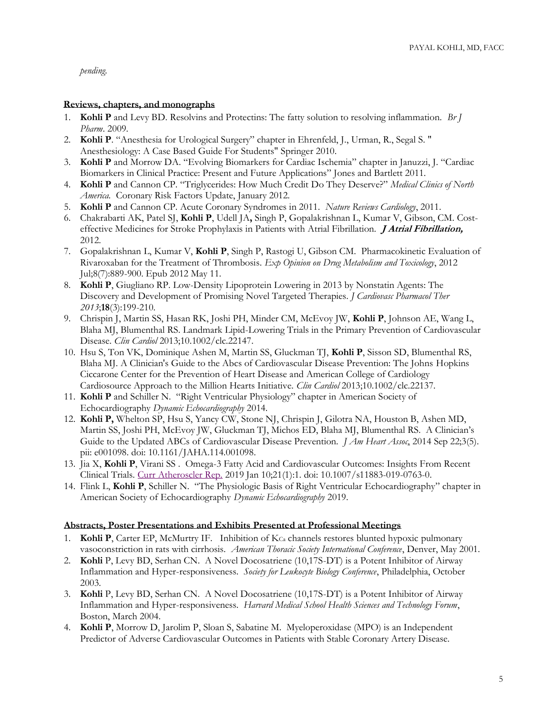*pending.*

#### **Reviews, chapters, and monographs**

- 1. **Kohli P** and Levy BD. Resolvins and Protectins: The fatty solution to resolving inflammation. *Br J Pharm*. 2009.
- 2. **Kohli P**. "Anesthesia for Urological Surgery" chapter in Ehrenfeld, J., Urman, R., Segal S. " Anesthesiology: A Case Based Guide For Students" Springer 2010.
- 3. **Kohli P** and Morrow DA. "Evolving Biomarkers for Cardiac Ischemia" chapter in Januzzi, J. "Cardiac Biomarkers in Clinical Practice: Present and Future Applications" Jones and Bartlett 2011.
- 4. **Kohli P** and Cannon CP. "Triglycerides: How Much Credit Do They Deserve?" *Medical Clinics of North America.* Coronary Risk Factors Update, January 2012.
- 5. **Kohli P** and Cannon CP. Acute Coronary Syndromes in 2011. *Nature Reviews Cardiology*, 2011.
- 6. Chakrabarti AK, Patel SJ, **Kohli P**, Udell JA**,** Singh P, Gopalakrishnan L, Kumar V, Gibson, CM. Costeffective Medicines for Stroke Prophylaxis in Patients with Atrial Fibrillation. **J Atrial Fibrillation,**  2012.
- 7. Gopalakrishnan L, Kumar V, **Kohli P**, Singh P, Rastogi U, Gibson CM.Pharmacokinetic Evaluation of Rivaroxaban for the Treatment of Thrombosis. *Exp Opinion on Drug Metabolism and Toxicology*, 2012 Jul;8(7):889-900. Epub 2012 May 11.
- 8. **Kohli P**, Giugliano RP. Low-Density Lipoprotein Lowering in 2013 by Nonstatin Agents: The Discovery and Development of Promising Novel Targeted Therapies. *J Cardiovasc Pharmacol Ther 2013*;**18**(3):199-210.
- 9. Chrispin J, Martin SS, Hasan RK, Joshi PH, Minder CM, McEvoy JW, **Kohli P**, Johnson AE, Wang L, Blaha MJ, Blumenthal RS. Landmark Lipid-Lowering Trials in the Primary Prevention of Cardiovascular Disease. *Clin Cardiol* 2013;10.1002/clc.22147.
- 10. Hsu S, Ton VK, Dominique Ashen M, Martin SS, Gluckman TJ, **Kohli P**, Sisson SD, Blumenthal RS, Blaha MJ. A Clinician's Guide to the Abcs of Cardiovascular Disease Prevention: The Johns Hopkins Ciccarone Center for the Prevention of Heart Disease and American College of Cardiology Cardiosource Approach to the Million Hearts Initiative. *Clin Cardiol* 2013;10.1002/clc.22137.
- 11. **Kohli P** and Schiller N. "Right Ventricular Physiology" chapter in American Society of Echocardiography *Dynamic Echocardiography* 2014.
- 12. **Kohli P,** Whelton SP, Hsu S, Yancy CW, Stone NJ, Chrispin J, Gilotra NA, Houston B, Ashen MD, Martin SS, Joshi PH, McEvoy JW, Gluckman TJ, Michos ED, Blaha MJ, Blumenthal RS. A Clinician's Guide to the Updated ABCs of Cardiovascular Disease Prevention. *J Am Heart Assoc*. 2014 Sep 22;3(5). pii: e001098. doi: 10.1161/JAHA.114.001098.
- 13. Jia X, **Kohli P**, Virani SS . Omega-3 Fatty Acid and Cardiovascular Outcomes: Insights From Recent Clinical Trials. [Curr Atheroscler Rep.](https://www.ncbi.nlm.nih.gov/pubmed/30631963) 2019 Jan 10;21(1):1. doi: 10.1007/s11883-019-0763-0.
- 14. Flink L, **Kohli P**, Schiller N. "The Physiologic Basis of Right Ventricular Echocardiography" chapter in American Society of Echocardiography *Dynamic Echocardiography* 2019.

#### **Abstracts, Poster Presentations and Exhibits Presented at Professional Meetings**

- 1. **Kohli P**, Carter EP, McMurtry IF. Inhibition of KCa channels restores blunted hypoxic pulmonary vasoconstriction in rats with cirrhosis. *American Thoracic Society International Conference*, Denver, May 2001.
- 2. **Kohli** P, Levy BD, Serhan CN. A Novel Docosatriene (10,17S-DT) is a Potent Inhibitor of Airway Inflammation and Hyper-responsiveness. *Society for Leukocyte Biology Conference*, Philadelphia, October 2003.
- 3. **Kohli** P, Levy BD, Serhan CN. A Novel Docosatriene (10,17S-DT) is a Potent Inhibitor of Airway Inflammation and Hyper-responsiveness. *Harvard Medical School Health Sciences and Technology Forum*, Boston, March 2004.
- 4. **Kohli P**, Morrow D, Jarolim P, Sloan S, Sabatine M. Myeloperoxidase (MPO) is an Independent Predictor of Adverse Cardiovascular Outcomes in Patients with Stable Coronary Artery Disease.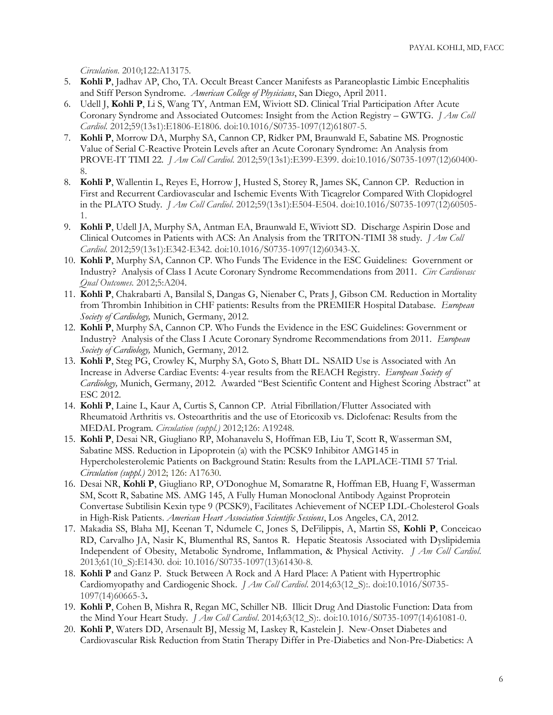*Circulation*. 2010;122:A13175.

- 5. **Kohli P**, Jadhav AP, Cho, TA. Occult Breast Cancer Manifests as Paraneoplastic Limbic Encephalitis and Stiff Person Syndrome. *American College of Physicians*, San Diego, April 2011.
- 6. Udell J, **Kohli P**, Li S, Wang TY, Antman EM, Wiviott SD. Clinical Trial Participation After Acute Coronary Syndrome and Associated Outcomes: Insight from the Action Registry – GWTG. *J Am Coll Cardiol*. 2012;59(13s1):E1806-E1806. doi:10.1016/S0735-1097(12)61807-5.
- 7. **Kohli P**, Morrow DA, Murphy SA, Cannon CP, Ridker PM, Braunwald E, Sabatine MS. Prognostic Value of Serial C-Reactive Protein Levels after an Acute Coronary Syndrome: An Analysis from PROVE-IT TIMI 22. *J Am Coll Cardiol*. 2012;59(13s1):E399-E399. doi:10.1016/S0735-1097(12)60400- 8.
- 8. **Kohli P**, Wallentin L, Reyes E, Horrow J, Husted S, Storey R, James SK, Cannon CP. Reduction in First and Recurrent Cardiovascular and Ischemic Events With Ticagrelor Compared With Clopidogrel in the PLATO Study. *J Am Coll Cardiol*. 2012;59(13s1):E504-E504. doi:10.1016/S0735-1097(12)60505- 1.
- 9. **Kohli P**, Udell JA, Murphy SA, Antman EA, Braunwald E, Wiviott SD. Discharge Aspirin Dose and Clinical Outcomes in Patients with ACS: An Analysis from the TRITON-TIMI 38 study. *J Am Coll Cardiol*. 2012;59(13s1):E342-E342. doi:10.1016/S0735-1097(12)60343-X.
- 10. **Kohli P**, Murphy SA, Cannon CP. Who Funds The Evidence in the ESC Guidelines: Government or Industry? Analysis of Class I Acute Coronary Syndrome Recommendations from 2011*.**Circ Cardiovasc Qual Outcomes*. 2012;5:A204.
- 11. **Kohli P**, Chakrabarti A, Bansilal S, Dangas G, Nienaber C, Prats J, Gibson CM. Reduction in Mortality from Thrombin Inhibition in CHF patients: Results from the PREMIER Hospital Database.*European Society of Cardiology,* Munich, Germany, 2012.
- 12. **Kohli P**, Murphy SA, Cannon CP. Who Funds the Evidence in the ESC Guidelines: Government or Industry? Analysis of the Class I Acute Coronary Syndrome Recommendations from 2011.*European Society of Cardiology,* Munich, Germany, 2012.
- 13. **Kohli P**, Steg PG, Crowley K, Murphy SA, Goto S, Bhatt DL. NSAID Use is Associated with An Increase in Adverse Cardiac Events: 4-year results from the REACH Registry.*European Society of Cardiology,* Munich, Germany, 2012. Awarded "Best Scientific Content and Highest Scoring Abstract" at ESC 2012.
- 14. **Kohli P**, Laine L, Kaur A, Curtis S, Cannon CP. Atrial Fibrillation/Flutter Associated with Rheumatoid Arthritis vs. Osteoarthritis and the use of Etoricoxib vs. Diclofenac: Results from the MEDAL Program. *Circulation (suppl.)* 2012;126: A19248.
- 15. **Kohli P**, Desai NR, Giugliano RP, Mohanavelu S, Hoffman EB, Liu T, Scott R, Wasserman SM, Sabatine MSS. Reduction in Lipoprotein (a) with the PCSK9 Inhibitor AMG145 in Hypercholesterolemic Patients on Background Statin: Results from the LAPLACE-TIMI 57 Trial. *Circulation (suppl.)* 2012; 126: A17630*.*
- 16. Desai NR, **Kohli P**, Giugliano RP, O'Donoghue M, Somaratne R, Hoffman EB, Huang F, Wasserman SM, Scott R, Sabatine MS. AMG 145, A Fully Human Monoclonal Antibody Against Proprotein Convertase Subtilisin Kexin type 9 (PCSK9), Facilitates Achievement of NCEP LDL-Cholesterol Goals in High-Risk Patients. *American Heart Association Scientific Sessions*, Los Angeles, CA, 2012.
- 17. Makadia SS, Blaha MJ, Keenan T, Ndumele C, Jones S, DeFilippis, A, Martin SS, **Kohli P**, Conceicao RD, Carvalho JA, Nasir K, Blumenthal RS, Santos R. Hepatic Steatosis Associated with Dyslipidemia Independent of Obesity, Metabolic Syndrome, Inflammation, & Physical Activity. *J Am Coll Cardiol*. 2013;61(10\_S):E1430. doi: 10.1016/S0735-1097(13)61430-8.
- 18. **Kohli P** and Ganz P. Stuck Between A Rock and A Hard Place: A Patient with Hypertrophic Cardiomyopathy and Cardiogenic Shock. *J Am Coll Cardiol*. 2014;63(12\_S):. doi:10.1016/S0735- 1097(14)60665-3**.**
- 19. **Kohli P**, Cohen B, Mishra R, Regan MC, Schiller NB. Illicit Drug And Diastolic Function: Data from the Mind Your Heart Study. *J Am Coll Cardiol*. 2014;63(12\_S):. doi:10.1016/S0735-1097(14)61081-0.
- 20. **Kohli P**, Waters DD, Arsenault BJ, Messig M, Laskey R, Kastelein J. New-Onset Diabetes and Cardiovascular Risk Reduction from Statin Therapy Differ in Pre-Diabetics and Non-Pre-Diabetics: A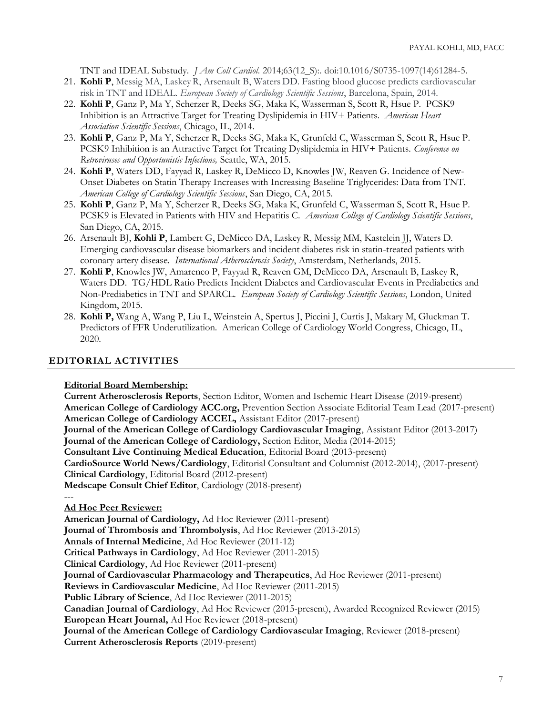TNT and IDEAL Substudy. *J Am Coll Cardiol*. 2014;63(12\_S):. doi:10.1016/S0735-1097(14)61284-5.

- 21. **Kohli P**, Messig MA, Laskey R, Arsenault B, Waters DD. Fasting blood glucose predicts cardiovascular risk in TNT and IDEAL. *European Society of Cardiology Scientific Sessions*, Barcelona, Spain, 2014.
- 22. **Kohli P**, Ganz P, Ma Y, Scherzer R, Deeks SG, Maka K, Wasserman S, Scott R, Hsue P. PCSK9 Inhibition is an Attractive Target for Treating Dyslipidemia in HIV+ Patients. *American Heart Association Scientific Sessions*, Chicago, IL, 2014.
- 23. **Kohli P**, Ganz P, Ma Y, Scherzer R, Deeks SG, Maka K, Grunfeld C, Wasserman S, Scott R, Hsue P. PCSK9 Inhibition is an Attractive Target for Treating Dyslipidemia in HIV+ Patients. *Conference on Retroviruses and Opportunistic Infections,* Seattle, WA, 2015.
- 24. **Kohli P**, Waters DD, Fayyad R, Laskey R, DeMicco D, Knowles JW, Reaven G. Incidence of New-Onset Diabetes on Statin Therapy Increases with Increasing Baseline Triglycerides: Data from TNT. *American College of Cardiology Scientific Sessions*, San Diego, CA, 2015.
- 25. **Kohli P**, Ganz P, Ma Y, Scherzer R, Deeks SG, Maka K, Grunfeld C, Wasserman S, Scott R, Hsue P. PCSK9 is Elevated in Patients with HIV and Hepatitis C. *American College of Cardiology Scientific Sessions*, San Diego, CA, 2015.
- 26. Arsenault BJ, **Kohli P**, Lambert G, DeMicco DA, Laskey R, Messig MM, Kastelein JJ, Waters D. Emerging cardiovascular disease biomarkers and incident diabetes risk in statin-treated patients with coronary artery disease*. International Atherosclerosis Society*, Amsterdam, Netherlands, 2015.
- 27. **Kohli P**, Knowles JW, Amarenco P, Fayyad R, Reaven GM, DeMicco DA, Arsenault B, Laskey R, Waters DD. TG/HDL Ratio Predicts Incident Diabetes and Cardiovascular Events in Prediabetics and Non-Prediabetics in TNT and SPARCL. *European Society of Cardiology Scientific Sessions*, London, United Kingdom, 2015.
- 28. **Kohli P,** Wang A, Wang P, Liu L, Weinstein A, Spertus J, Piccini J, Curtis J, Makary M, Gluckman T. Predictors of FFR Underutilization. American College of Cardiology World Congress, Chicago, IL, 2020.

#### **EDITORIAL ACTIVITIES**

#### **Editorial Board Membership:**

**Current Atherosclerosis Reports**, Section Editor, Women and Ischemic Heart Disease (2019-present) **American College of Cardiology ACC.org,** Prevention Section Associate Editorial Team Lead (2017-present) **American College of Cardiology ACCEL,** Assistant Editor (2017-present) **Journal of the American College of Cardiology Cardiovascular Imaging**, Assistant Editor (2013-2017) **Journal of the American College of Cardiology,** Section Editor, Media (2014-2015) **Consultant Live Continuing Medical Education**, Editorial Board (2013-present) **CardioSource World News/Cardiology**, Editorial Consultant and Columnist (2012-2014), (2017-present) **Clinical Cardiology**, Editorial Board (2012-present) **Medscape Consult Chief Editor**, Cardiology (2018-present) --- **Ad Hoc Peer Reviewer: American Journal of Cardiology,** Ad Hoc Reviewer (2011-present) **Journal of Thrombosis and Thrombolysis**, Ad Hoc Reviewer (2013-2015) **Annals of Internal Medicine**, Ad Hoc Reviewer (2011-12) **Critical Pathways in Cardiology**, Ad Hoc Reviewer (2011-2015) **Clinical Cardiology**, Ad Hoc Reviewer (2011-present) **Journal of Cardiovascular Pharmacology and Therapeutics**, Ad Hoc Reviewer (2011-present) **Reviews in Cardiovascular Medicine**, Ad Hoc Reviewer (2011-2015) **Public Library of Science**, Ad Hoc Reviewer (2011-2015) **Canadian Journal of Cardiology**, Ad Hoc Reviewer (2015-present), Awarded Recognized Reviewer (2015) **European Heart Journal,** Ad Hoc Reviewer (2018-present) **Journal of the American College of Cardiology Cardiovascular Imaging**, Reviewer (2018-present) **Current Atherosclerosis Reports** (2019-present)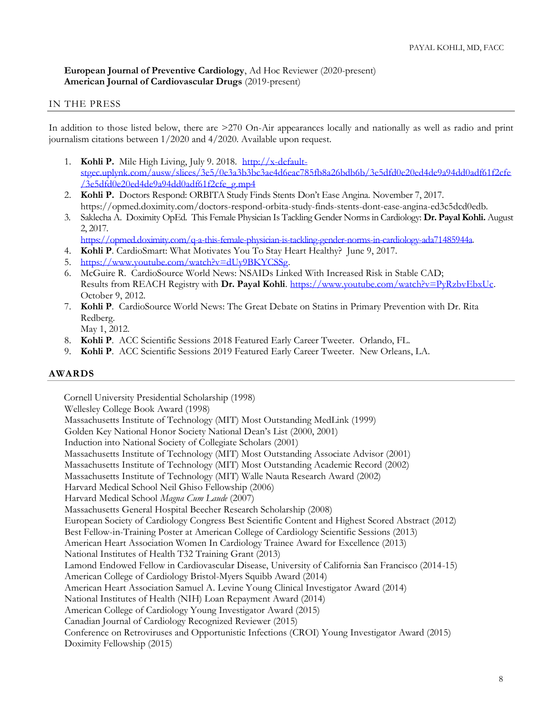#### **European Journal of Preventive Cardiology**, Ad Hoc Reviewer (2020-present) **American Journal of Cardiovascular Drugs** (2019-present)

#### IN THE PRESS

In addition to those listed below, there are  $\geq$ 270 On-Air appearances locally and nationally as well as radio and print journalism citations between 1/2020 and 4/2020. Available upon request.

- 1. **Kohli P.** Mile High Living, July 9. 2018. [http://x-default](http://x-default-stgec.uplynk.com/ausw/slices/3e5/0e3a3b3bc3ae4d6eac785fb8a26bdb6b/3e5dfd0e20ed4de9a94dd0adf61f2cfe/3e5dfd0e20ed4de9a94dd0adf61f2cfe_g.mp4)[stgec.uplynk.com/ausw/slices/3e5/0e3a3b3bc3ae4d6eac785fb8a26bdb6b/3e5dfd0e20ed4de9a94dd0adf61f2cfe](http://x-default-stgec.uplynk.com/ausw/slices/3e5/0e3a3b3bc3ae4d6eac785fb8a26bdb6b/3e5dfd0e20ed4de9a94dd0adf61f2cfe/3e5dfd0e20ed4de9a94dd0adf61f2cfe_g.mp4) [/3e5dfd0e20ed4de9a94dd0adf61f2cfe\\_g.mp4](http://x-default-stgec.uplynk.com/ausw/slices/3e5/0e3a3b3bc3ae4d6eac785fb8a26bdb6b/3e5dfd0e20ed4de9a94dd0adf61f2cfe/3e5dfd0e20ed4de9a94dd0adf61f2cfe_g.mp4)
- 2. **Kohli P.** Doctors Respond: ORBITA Study Finds Stents Don't Ease Angina. November 7, 2017. https://opmed.doximity.com/doctors-respond-orbita-study-finds-stents-dont-ease-angina-ed3c5dcd0edb.
- 3. Saklecha A. Doximity OpEd. This Female Physician Is Tackling Gender Norms in Cardiology: **Dr. Payal Kohli.** August 2, 2017.
	- [https://opmed.doximity.com/q-a-this-female-physician-is-tackling-gender-norms-in-cardiology-ada71485944a.](https://opmed.doximity.com/q-a-this-female-physician-is-tackling-gender-norms-in-cardiology-ada71485944a)
- 4. **Kohli P**. CardioSmart: What Motivates You To Stay Heart Healthy? June 9, 2017.
- 5. [https://www.youtube.com/watch?v=dUy9BKYCSSg.](https://www.youtube.com/watch?v=dUy9BKYCSSg)
- 6. McGuire R. CardioSource World News: NSAIDs Linked With Increased Risk in Stable CAD; Results from REACH Registry with **Dr. Payal Kohli**. [https://www.youtube.com/watch?v=PyRzbvEbxUc.](https://www.youtube.com/watch?v=PyRzbvEbxUc) October 9, 2012.
- 7. **Kohli P**. CardioSource World News: The Great Debate on Statins in Primary Prevention with Dr. Rita Redberg.

May 1, 2012.

- 8. **Kohli P**. ACC Scientific Sessions 2018 Featured Early Career Tweeter. Orlando, FL.
- 9. **Kohli P**. ACC Scientific Sessions 2019 Featured Early Career Tweeter. New Orleans, LA.

#### **AWARDS**

Cornell University Presidential Scholarship (1998)

Wellesley College Book Award (1998) Massachusetts Institute of Technology (MIT) Most Outstanding MedLink (1999) Golden Key National Honor Society National Dean's List (2000, 2001) Induction into National Society of Collegiate Scholars (2001) Massachusetts Institute of Technology (MIT) Most Outstanding Associate Advisor (2001) Massachusetts Institute of Technology (MIT) Most Outstanding Academic Record (2002) Massachusetts Institute of Technology (MIT) Walle Nauta Research Award (2002) Harvard Medical School Neil Ghiso Fellowship (2006) Harvard Medical School *Magna Cum Laude* (2007) Massachusetts General Hospital Beecher Research Scholarship (2008) European Society of Cardiology Congress Best Scientific Content and Highest Scored Abstract (2012) Best Fellow-in-Training Poster at American College of Cardiology Scientific Sessions (2013) American Heart Association Women In Cardiology Trainee Award for Excellence (2013) National Institutes of Health T32 Training Grant (2013) Lamond Endowed Fellow in Cardiovascular Disease, University of California San Francisco (2014-15) American College of Cardiology Bristol-Myers Squibb Award (2014) American Heart Association Samuel A. Levine Young Clinical Investigator Award (2014) National Institutes of Health (NIH) Loan Repayment Award (2014) American College of Cardiology Young Investigator Award (2015) Canadian Journal of Cardiology Recognized Reviewer (2015) Conference on Retroviruses and Opportunistic Infections (CROI) Young Investigator Award (2015) Doximity Fellowship (2015)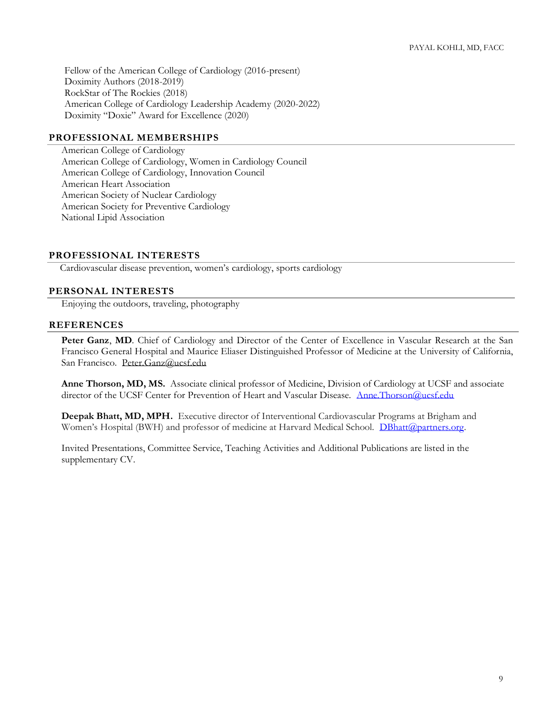Fellow of the American College of Cardiology (2016-present) Doximity Authors (2018-2019) RockStar of The Rockies (2018) American College of Cardiology Leadership Academy (2020-2022) Doximity "Doxie" Award for Excellence (2020)

#### **PROFESSIONAL MEMBERSHIPS**

American College of Cardiology American College of Cardiology, Women in Cardiology Council American College of Cardiology, Innovation Council American Heart Association American Society of Nuclear Cardiology American Society for Preventive Cardiology National Lipid Association

#### **PROFESSIONAL INTERESTS**

Cardiovascular disease prevention, women's cardiology, sports cardiology

#### **PERSONAL INTERESTS**

Enjoying the outdoors, traveling, photography

#### **REFERENCES**

**Peter Ganz**, **MD**. Chief of Cardiology and Director of the Center of Excellence in Vascular Research at the San Francisco General Hospital and Maurice Eliaser Distinguished Professor of Medicine at the University of California, San Francisco. [Peter.Ganz@ucsf.edu](mailto:Peter.Ganz@ucsf.edu)

**Anne Thorson, MD, MS.** Associate clinical professor of Medicine, Division of Cardiology at UCSF and associate director of the UCSF Center for Prevention of Heart and Vascular Disease. [Anne.Thorson@ucsf.edu](mailto:Anne.Thorson@ucsf.edu)

**Deepak Bhatt, MD, MPH.** Executive director of Interventional Cardiovascular Programs at Brigham and Women's Hospital (BWH) and professor of medicine at Harvard Medical School. [DBhatt@partners.org.](mailto:DBhatt@partners.org)

Invited Presentations, Committee Service, Teaching Activities and Additional Publications are listed in the supplementary CV.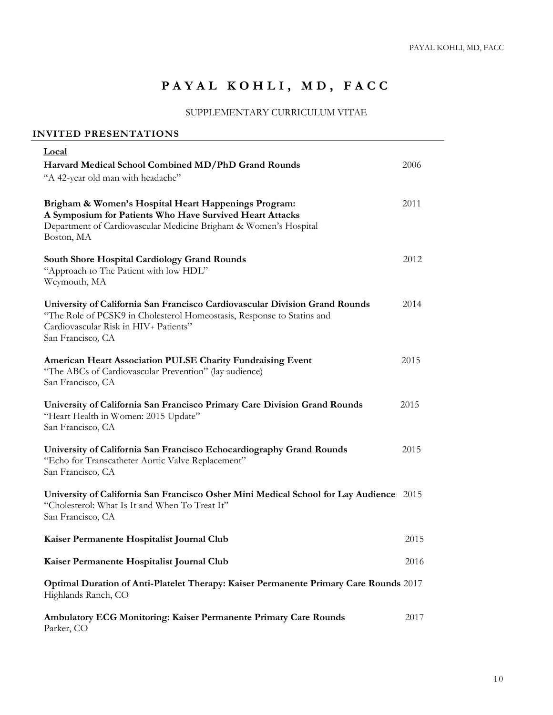# PAYAL KOHLI, MD, FACC

# SUPPLEMENTARY CURRICULUM VITAE

the control of the control of the control of the control of the control of the control of

## **INVITED PRESENTATIONS**

| Local<br>Harvard Medical School Combined MD/PhD Grand Rounds<br>"A 42-year old man with headache"                                                                                                                   | 2006 |
|---------------------------------------------------------------------------------------------------------------------------------------------------------------------------------------------------------------------|------|
| Brigham & Women's Hospital Heart Happenings Program:<br>A Symposium for Patients Who Have Survived Heart Attacks<br>Department of Cardiovascular Medicine Brigham & Women's Hospital<br>Boston, MA                  | 2011 |
| <b>South Shore Hospital Cardiology Grand Rounds</b><br>"Approach to The Patient with low HDL"<br>Weymouth, MA                                                                                                       | 2012 |
| University of California San Francisco Cardiovascular Division Grand Rounds<br>"The Role of PCSK9 in Cholesterol Homeostasis, Response to Statins and<br>Cardiovascular Risk in HIV+ Patients"<br>San Francisco, CA | 2014 |
| American Heart Association PULSE Charity Fundraising Event<br>"The ABCs of Cardiovascular Prevention" (lay audience)<br>San Francisco, CA                                                                           | 2015 |
| University of California San Francisco Primary Care Division Grand Rounds<br>"Heart Health in Women: 2015 Update"<br>San Francisco, CA                                                                              | 2015 |
| University of California San Francisco Echocardiography Grand Rounds<br>"Echo for Transcatheter Aortic Valve Replacement"<br>San Francisco, CA                                                                      | 2015 |
| University of California San Francisco Osher Mini Medical School for Lay Audience 2015<br>"Cholesterol: What Is It and When To Treat It"<br>San Francisco, CA                                                       |      |
| Kaiser Permanente Hospitalist Journal Club                                                                                                                                                                          | 2015 |
| Kaiser Permanente Hospitalist Journal Club                                                                                                                                                                          | 2016 |
| Optimal Duration of Anti-Platelet Therapy: Kaiser Permanente Primary Care Rounds 2017<br>Highlands Ranch, CO                                                                                                        |      |
| Ambulatory ECG Monitoring: Kaiser Permanente Primary Care Rounds<br>Parker, CO                                                                                                                                      | 2017 |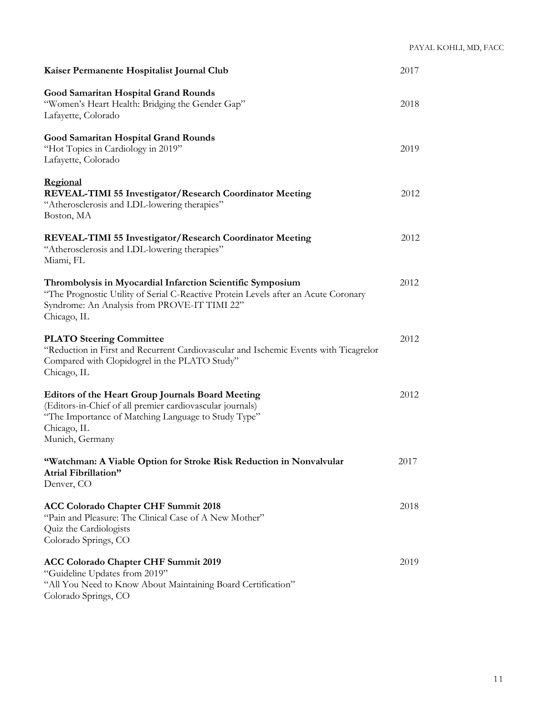PAYAL KOHLI, MD, FACC

| Kaiser Permanente Hospitalist Journal Club                                                                                                                                                                       | 2017 |
|------------------------------------------------------------------------------------------------------------------------------------------------------------------------------------------------------------------|------|
| Good Samaritan Hospital Grand Rounds<br>"Women's Heart Health: Bridging the Gender Gap"<br>Lafayette, Colorado                                                                                                   | 2018 |
| Good Samaritan Hospital Grand Rounds<br>"Hot Topics in Cardiology in 2019"<br>Lafayette, Colorado                                                                                                                | 2019 |
| Regional<br><b>REVEAL-TIMI 55 Investigator/Research Coordinator Meeting</b><br>"Atherosclerosis and LDL-lowering therapies"<br>Boston, MA                                                                        | 2012 |
| <b>REVEAL-TIMI 55 Investigator/Research Coordinator Meeting</b><br>"Atherosclerosis and LDL-lowering therapies"<br>Miami, FL                                                                                     | 2012 |
| Thrombolysis in Myocardial Infarction Scientific Symposium<br>"The Prognostic Utility of Serial C-Reactive Protein Levels after an Acute Coronary<br>Syndrome: An Analysis from PROVE-IT TIMI 22"<br>Chicago, IL | 2012 |
| <b>PLATO Steering Committee</b><br>"Reduction in First and Recurrent Cardiovascular and Ischemic Events with Ticagrelor<br>Compared with Clopidogrel in the PLATO Study"<br>Chicago, IL                          | 2012 |
| <b>Editors of the Heart Group Journals Board Meeting</b><br>(Editors-in-Chief of all premier cardiovascular journals)<br>"The Importance of Matching Language to Study Type"<br>Chicago, IL<br>Munich, Germany   | 2012 |
| "Watchman: A Viable Option for Stroke Risk Reduction in Nonvalvular<br>Atrial Fibrillation"<br>Denver, CO                                                                                                        | 2017 |
| <b>ACC Colorado Chapter CHF Summit 2018</b><br>"Pain and Pleasure: The Clinical Case of A New Mother"<br>Quiz the Cardiologists<br>Colorado Springs, CO                                                          | 2018 |
| <b>ACC Colorado Chapter CHF Summit 2019</b><br>"Guideline Updates from 2019"<br>"All You Need to Know About Maintaining Board Certification"<br>Colorado Springs, CO                                             | 2019 |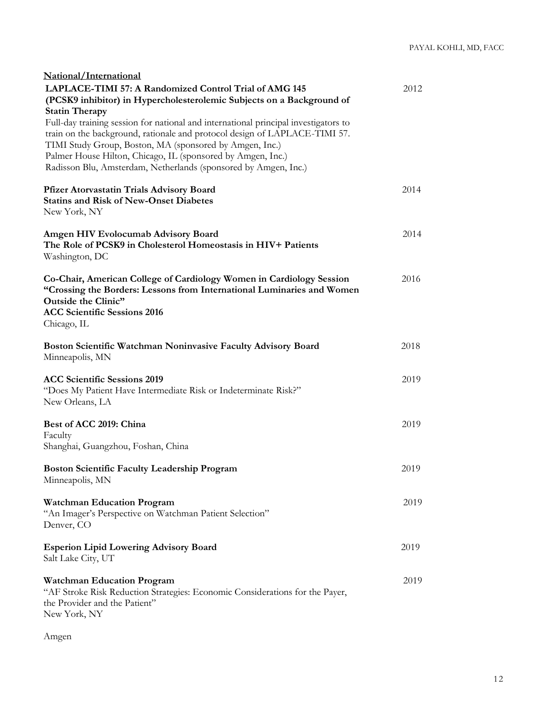| National/International                                                                                                                         |      |
|------------------------------------------------------------------------------------------------------------------------------------------------|------|
| LAPLACE-TIMI 57: A Randomized Control Trial of AMG 145<br>(PCSK9 inhibitor) in Hypercholesterolemic Subjects on a Background of                | 2012 |
| <b>Statin Therapy</b>                                                                                                                          |      |
| Full-day training session for national and international principal investigators to                                                            |      |
| train on the background, rationale and protocol design of LAPLACE-TIMI 57.                                                                     |      |
| TIMI Study Group, Boston, MA (sponsored by Amgen, Inc.)<br>Palmer House Hilton, Chicago, IL (sponsored by Amgen, Inc.)                         |      |
| Radisson Blu, Amsterdam, Netherlands (sponsored by Amgen, Inc.)                                                                                |      |
|                                                                                                                                                |      |
| Pfizer Atorvastatin Trials Advisory Board                                                                                                      | 2014 |
| <b>Statins and Risk of New-Onset Diabetes</b>                                                                                                  |      |
| New York, NY                                                                                                                                   |      |
| Amgen HIV Evolocumab Advisory Board                                                                                                            | 2014 |
| The Role of PCSK9 in Cholesterol Homeostasis in HIV+ Patients                                                                                  |      |
| Washington, DC                                                                                                                                 |      |
|                                                                                                                                                |      |
| Co-Chair, American College of Cardiology Women in Cardiology Session<br>"Crossing the Borders: Lessons from International Luminaries and Women | 2016 |
| Outside the Clinic"                                                                                                                            |      |
| <b>ACC Scientific Sessions 2016</b>                                                                                                            |      |
| Chicago, IL                                                                                                                                    |      |
|                                                                                                                                                |      |
| Boston Scientific Watchman Noninvasive Faculty Advisory Board<br>Minneapolis, MN                                                               | 2018 |
|                                                                                                                                                |      |
| <b>ACC Scientific Sessions 2019</b>                                                                                                            | 2019 |
| "Does My Patient Have Intermediate Risk or Indeterminate Risk?"                                                                                |      |
| New Orleans, LA                                                                                                                                |      |
| Best of ACC 2019: China                                                                                                                        | 2019 |
| Faculty                                                                                                                                        |      |
| Shanghai, Guangzhou, Foshan, China                                                                                                             |      |
|                                                                                                                                                |      |
| <b>Boston Scientific Faculty Leadership Program</b><br>Minneapolis, MN                                                                         | 2019 |
|                                                                                                                                                |      |
| <b>Watchman Education Program</b>                                                                                                              | 2019 |
| "An Imager's Perspective on Watchman Patient Selection"                                                                                        |      |
| Denver, CO                                                                                                                                     |      |
| <b>Esperion Lipid Lowering Advisory Board</b>                                                                                                  | 2019 |
| Salt Lake City, UT                                                                                                                             |      |
|                                                                                                                                                |      |
| <b>Watchman Education Program</b>                                                                                                              | 2019 |
| "AF Stroke Risk Reduction Strategies: Economic Considerations for the Payer,<br>the Provider and the Patient"                                  |      |
| New York, NY                                                                                                                                   |      |
|                                                                                                                                                |      |

Amgen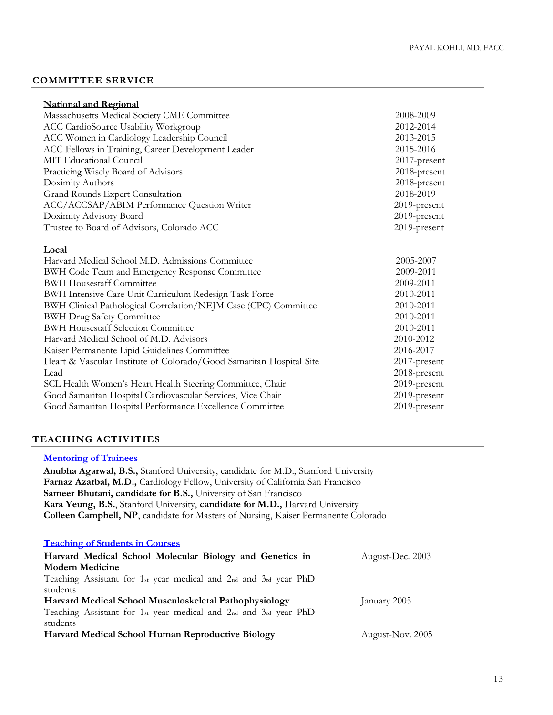### **COMMITTEE SERVICE**

| 2008-2009    |
|--------------|
| 2012-2014    |
| 2013-2015    |
| 2015-2016    |
| 2017-present |
| 2018-present |
| 2018-present |
| 2018-2019    |
| 2019-present |
| 2019-present |
| 2019-present |
|              |
|              |
| 2005-2007    |
| 2009-2011    |
| 2009-2011    |
| 2010-2011    |
| 2010-2011    |
| 2010-2011    |
| 2010-2011    |
| 2010-2012    |
| 2016-2017    |
| 2017-present |
| 2018-present |
| 2019-present |
| 2019-present |
| 2019-present |
|              |

#### **TEACHING ACTIVITIES**

#### **Mentoring of Trainees**

**Anubha Agarwal, B.S.,** Stanford University, candidate for M.D., Stanford University **Farnaz Azarbal, M.D.,** Cardiology Fellow, University of California San Francisco **Sameer Bhutani, candidate for B.S.,** University of San Francisco **Kara Yeung, B.S.**, Stanford University, **candidate for M.D.,** Harvard University **Colleen Campbell, NP**, candidate for Masters of Nursing, Kaiser Permanente Colorado

| <b>Teaching of Students in Courses</b>                           |                  |
|------------------------------------------------------------------|------------------|
| Harvard Medical School Molecular Biology and Genetics in         | August-Dec. 2003 |
| <b>Modern Medicine</b>                                           |                  |
| Teaching Assistant for 1st year medical and 2nd and 3rd year PhD |                  |
| students                                                         |                  |
| Harvard Medical School Musculoskeletal Pathophysiology           | January 2005     |
| Teaching Assistant for 1st year medical and 2nd and 3rd year PhD |                  |
| students                                                         |                  |
| Harvard Medical School Human Reproductive Biology                | August-Nov. 2005 |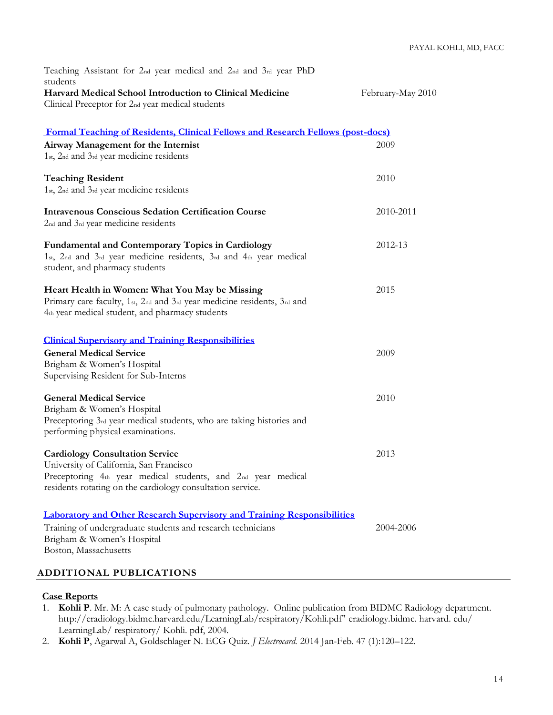| Teaching Assistant for 2nd year medical and 2nd and 3rd year PhD                                                                                                                                                |                   |  |  |
|-----------------------------------------------------------------------------------------------------------------------------------------------------------------------------------------------------------------|-------------------|--|--|
| students<br>Harvard Medical School Introduction to Clinical Medicine<br>Clinical Preceptor for 2nd year medical students                                                                                        | February-May 2010 |  |  |
| Formal Teaching of Residents, Clinical Fellows and Research Fellows (post-docs)                                                                                                                                 |                   |  |  |
| Airway Management for the Internist<br>1st, 2nd and 3rd year medicine residents                                                                                                                                 | 2009              |  |  |
| <b>Teaching Resident</b><br>1st, 2nd and 3rd year medicine residents                                                                                                                                            | 2010              |  |  |
| <b>Intravenous Conscious Sedation Certification Course</b><br>2nd and 3rd year medicine residents                                                                                                               | 2010-2011         |  |  |
| <b>Fundamental and Contemporary Topics in Cardiology</b><br>1st, 2nd and 3rd year medicine residents, 3rd and 4th year medical<br>student, and pharmacy students                                                | 2012-13           |  |  |
| Heart Health in Women: What You May be Missing<br>Primary care faculty, 1st, 2nd and 3rd year medicine residents, 3rd and<br>4th year medical student, and pharmacy students                                    | 2015              |  |  |
| <b>Clinical Supervisory and Training Responsibilities</b>                                                                                                                                                       |                   |  |  |
| <b>General Medical Service</b><br>Brigham & Women's Hospital<br>Supervising Resident for Sub-Interns                                                                                                            | 2009              |  |  |
| <b>General Medical Service</b><br>Brigham & Women's Hospital<br>Preceptoring 3rd year medical students, who are taking histories and<br>performing physical examinations.                                       | 2010              |  |  |
| <b>Cardiology Consultation Service</b><br>University of California, San Francisco<br>Preceptoring 4th year medical students, and 2nd year medical<br>residents rotating on the cardiology consultation service. | 2013              |  |  |
| <b>Laboratory and Other Research Supervisory and Training Responsibilities</b><br>Training of undergraduate students and research technicians<br>Brigham & Women's Hospital<br>Boston, Massachusetts            | 2004-2006         |  |  |

# **ADDITIONAL PUBLICATIONS**

## **Case Reports**

- 1. **Kohli P**. Mr. M: A case study of pulmonary pathology. Online publication from BIDMC Radiology department. http://eradiology.bidmc.harvard.edu/LearningLab/respiratory/Kohli.pdf" eradiology.bidmc. harvard. edu/ LearningLab/ respiratory/ Kohli. pdf, 2004.
- 2. **Kohli P**, Agarwal A, Goldschlager N. ECG Quiz. *J Electrocard.* 2014 Jan-Feb. [47 \(1\)](http://www.sciencedirect.com/science/journal/00220736/47/1):120–122.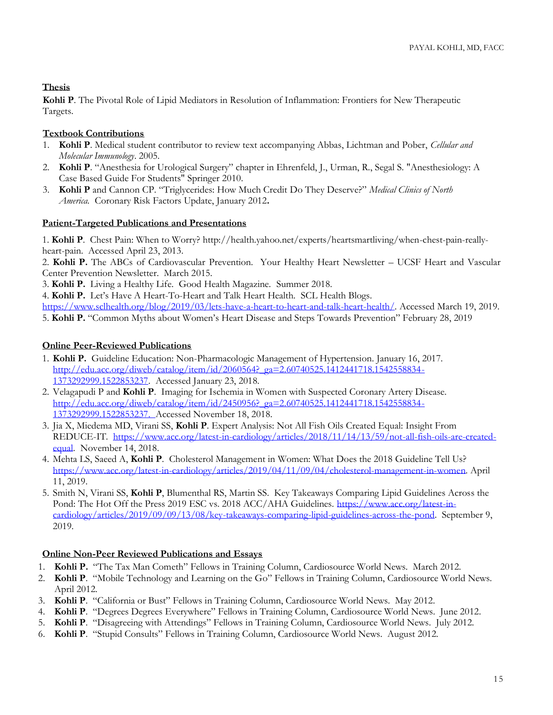# **Thesis**

**Kohli P**. The Pivotal Role of Lipid Mediators in Resolution of Inflammation: Frontiers for New Therapeutic Targets.

## **Textbook Contributions**

- 1. **Kohli P**. Medical student contributor to review text accompanying Abbas, Lichtman and Pober, *Cellular and Molecular Immunology*. 2005.
- 2. **Kohli P**. "Anesthesia for Urological Surgery" chapter in Ehrenfeld, J., Urman, R., Segal S. "Anesthesiology: A Case Based Guide For Students" Springer 2010.
- 3. **Kohli P** and Cannon CP. "Triglycerides: How Much Credit Do They Deserve?" *Medical Clinics of North America.* Coronary Risk Factors Update, January 2012**.**

## **Patient-Targeted Publications and Presentations**

1. **Kohli P**. Chest Pain: When to Worry? [http://health.yahoo.net/experts/heartsmartliving/when-chest-pain-really](http://health.yahoo.net/experts/heartsmartliving/when-chest-pain-really-heart-pain)[heart-pain.](http://health.yahoo.net/experts/heartsmartliving/when-chest-pain-really-heart-pain) Accessed April 23, 2013.

2. **Kohli P.** The ABCs of Cardiovascular Prevention. Your Healthy Heart Newsletter – UCSF Heart and Vascular Center Prevention Newsletter. March 2015.

3. **Kohli P.** Living a Healthy Life. Good Health Magazine. Summer 2018.

4. **Kohli P.** Let's Have A Heart-To-Heart and Talk Heart Health. SCL Health Blogs. [https://www.sclhealth.org/blog/2019/03/lets-have-a-heart-to-heart-and-talk-heart-health/.](https://www.sclhealth.org/blog/2019/03/lets-have-a-heart-to-heart-and-talk-heart-health/) Accessed March 19, 2019.

5. **Kohli P.** "Common Myths about Women's Heart Disease and Steps Towards Prevention" February 28, 2019

## **Online Peer-Reviewed Publications**

- 1. **Kohli P.** Guideline Education: Non-Pharmacologic Management of Hypertension. January 16, 2017. [http://edu.acc.org/diweb/catalog/item/id/2060564?\\_ga=2.60740525.1412441718.1542558834-](http://edu.acc.org/diweb/catalog/item/id/2060564?_ga=2.60740525.1412441718.1542558834-1373292999.1522853237) [1373292999.1522853237.](http://edu.acc.org/diweb/catalog/item/id/2060564?_ga=2.60740525.1412441718.1542558834-1373292999.1522853237) Accessed January 23, 2018.
- 2. Velagapudi P and **Kohli P**. Imaging for Ischemia in Women with Suspected Coronary Artery Disease. [http://edu.acc.org/diweb/catalog/item/id/2450956?\\_ga=2.60740525.1412441718.1542558834-](http://edu.acc.org/diweb/catalog/item/id/2450956?_ga=2.60740525.1412441718.1542558834-1373292999.1522853237) [1373292999.1522853237.](http://edu.acc.org/diweb/catalog/item/id/2450956?_ga=2.60740525.1412441718.1542558834-1373292999.1522853237) Accessed November 18, 2018.
- 3. Jia X, Miedema MD, Virani SS, **Kohli P**. Expert Analysis: Not All Fish Oils Created Equal: Insight From REDUCE-IT. [https://www.acc.org/latest-in-cardiology/articles/2018/11/14/13/59/not-all-fish-oils-are-created](https://www.acc.org/latest-in-cardiology/articles/2018/11/14/13/59/not-all-fish-oils-are-created-equal)[equal.](https://www.acc.org/latest-in-cardiology/articles/2018/11/14/13/59/not-all-fish-oils-are-created-equal) November 14, 2018.
- 4. Mehta LS, Saeed A, **Kohli P**. Cholesterol Management in Women: What Does the 2018 Guideline Tell Us? [https://www.acc.org/latest-in-cardiology/articles/2019/04/11/09/04/cholesterol-management-in-women.](https://www.acc.org/latest-in-cardiology/articles/2019/04/11/09/04/cholesterol-management-in-women) April 11, 2019.
- 5. Smith N, Virani SS, **Kohli P**, Blumenthal RS, Martin SS. Key Takeaways Comparing Lipid Guidelines Across the Pond: The Hot Off the Press 2019 ESC vs. 2018 ACC/AHA Guidelines. [https://www.acc.org/latest-in](https://www.acc.org/latest-in-cardiology/articles/2019/09/09/13/08/key-takeaways-comparing-lipid-guidelines-across-the-pond)[cardiology/articles/2019/09/09/13/08/key-takeaways-comparing-lipid-guidelines-across-the-pond.](https://www.acc.org/latest-in-cardiology/articles/2019/09/09/13/08/key-takeaways-comparing-lipid-guidelines-across-the-pond) September 9, 2019.

## **Online Non-Peer Reviewed Publications and Essays**

- 1. **Kohli P.** "The Tax Man Cometh" Fellows in Training Column, Cardiosource World News. March 2012.
- 2. **Kohli P**. "Mobile Technology and Learning on the Go" Fellows in Training Column, Cardiosource World News. April 2012.
- 3. **Kohli P**. "California or Bust" Fellows in Training Column, Cardiosource World News. May 2012.
- 4. **Kohli P**. "Degrees Degrees Everywhere" Fellows in Training Column, Cardiosource World News. June 2012.
- 5. **Kohli P**. "Disagreeing with Attendings" Fellows in Training Column, Cardiosource World News. July 2012.
- 6. **Kohli P**. "Stupid Consults" Fellows in Training Column, Cardiosource World News. August 2012.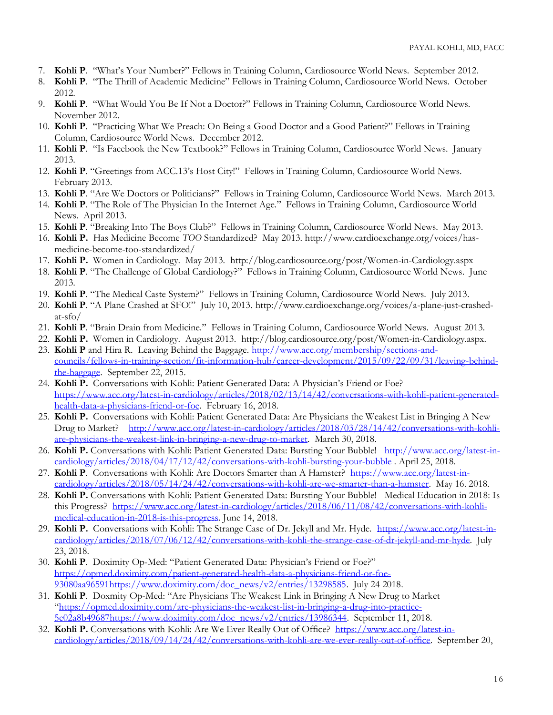- 7. **Kohli P**. "What's Your Number?" Fellows in Training Column, Cardiosource World News. September 2012.
- 8. **Kohli P**. "The Thrill of Academic Medicine" Fellows in Training Column, Cardiosource World News. October 2012.
- 9. **Kohli P**. "What Would You Be If Not a Doctor?" Fellows in Training Column, Cardiosource World News. November 2012.
- 10. **Kohli P**. "Practicing What We Preach: On Being a Good Doctor and a Good Patient?" Fellows in Training Column, Cardiosource World News. December 2012.
- 11. **Kohli P**. "Is Facebook the New Textbook?" Fellows in Training Column, Cardiosource World News. January 2013.
- 12. **Kohli P**. "Greetings from ACC.13's Host City!" Fellows in Training Column, Cardiosource World News. February 2013.
- 13. **Kohli P**. "Are We Doctors or Politicians?" Fellows in Training Column, Cardiosource World News. March 2013.
- 14. **Kohli P**. "The Role of The Physician In the Internet Age." Fellows in Training Column, Cardiosource World News. April 2013.
- 15. **Kohli P**. "Breaking Into The Boys Club?" Fellows in Training Column, Cardiosource World News. May 2013.
- 16. **Kohli P.** Has Medicine Become *TOO* Standardized? May 2013. http://www.cardioexchange.org/voices/hasmedicine-become-too-standardized/
- 17. **Kohli P.** Women in Cardiology. May 2013. <http://blog.cardiosource.org/post/Women-in-Cardiology.aspx>
- 18. **Kohli P**. "The Challenge of Global Cardiology?" Fellows in Training Column, Cardiosource World News. June 2013.
- 19. **Kohli P**. "The Medical Caste System?" Fellows in Training Column, Cardiosource World News. July 2013.
- 20. **Kohli P**. "A Plane Crashed at SFO!" July 10, 2013. [http://www.cardioexchange.org/voices/a-plane-just-crashed](http://www.cardioexchange.org/voices/a-plane-just-crashed-at-sfo/)[at-sfo/](http://www.cardioexchange.org/voices/a-plane-just-crashed-at-sfo/)
- 21. **Kohli P**. "Brain Drain from Medicine." Fellows in Training Column, Cardiosource World News. August 2013.
- 22. **Kohli P.** Women in Cardiology. August 2013. [http://blog.cardiosource.org/post/Women-in-Cardiology.aspx.](http://blog.cardiosource.org/post/Women-in-Cardiology.aspx)
- 23. **Kohli P** and Hira R. Leaving Behind the Baggage. [http://www.acc.org/membership/sections-and](http://www.acc.org/membership/sections-and-councils/fellows-in-training-section/fit-information-hub/career-development/2015/09/22/09/31/leaving-behind-the-baggage)[councils/fellows-in-training-section/fit-information-hub/career-development/2015/09/22/09/31/leaving-behind](http://www.acc.org/membership/sections-and-councils/fellows-in-training-section/fit-information-hub/career-development/2015/09/22/09/31/leaving-behind-the-baggage)[the-baggage.](http://www.acc.org/membership/sections-and-councils/fellows-in-training-section/fit-information-hub/career-development/2015/09/22/09/31/leaving-behind-the-baggage) September 22, 2015.
- 24. **Kohli P.** Conversations with Kohli: Patient Generated Data: A Physician's Friend or Foe? [https://www.acc.org/latest-in-cardiology/articles/2018/02/13/14/42/conversations-with-kohli-patient-generated](https://www.acc.org/latest-in-cardiology/articles/2018/02/13/14/42/conversations-with-kohli-patient-generated-health-data-a-physicians-friend-or-foe)[health-data-a-physicians-friend-or-foe.](https://www.acc.org/latest-in-cardiology/articles/2018/02/13/14/42/conversations-with-kohli-patient-generated-health-data-a-physicians-friend-or-foe) February 16, 2018.
- 25. **Kohli P.** Conversations with Kohli: Patient Generated Data: Are Physicians the Weakest List in Bringing A New Drug to Market? [http://www.acc.org/latest-in-cardiology/articles/2018/03/28/14/42/conversations-with-kohli](http://www.acc.org/latest-in-cardiology/articles/2018/03/28/14/42/conversations-with-kohli-are-physicians-the-weakest-link-in-bringing-a-new-drug-to-market)[are-physicians-the-weakest-link-in-bringing-a-new-drug-to-market.](http://www.acc.org/latest-in-cardiology/articles/2018/03/28/14/42/conversations-with-kohli-are-physicians-the-weakest-link-in-bringing-a-new-drug-to-market) March 30, 2018.
- 26. **Kohli P.** Conversations with Kohli: Patient Generated Data: Bursting Your Bubble! [http://www.acc.org/latest-in](http://www.acc.org/latest-in-cardiology/articles/2018/04/17/12/42/conversations-with-kohli-bursting-your-bubble)[cardiology/articles/2018/04/17/12/42/conversations-with-kohli-bursting-your-bubble](http://www.acc.org/latest-in-cardiology/articles/2018/04/17/12/42/conversations-with-kohli-bursting-your-bubble) . April 25, 2018.
- 27. **Kohli P**. Conversations with Kohli: Are Doctors Smarter than A Hamster? [https://www.acc.org/latest-in](https://www.acc.org/latest-in-cardiology/articles/2018/05/14/24/42/conversations-with-kohli-are-we-smarter-than-a-hamster)[cardiology/articles/2018/05/14/24/42/conversations-with-kohli-are-we-smarter-than-a-hamster.](https://www.acc.org/latest-in-cardiology/articles/2018/05/14/24/42/conversations-with-kohli-are-we-smarter-than-a-hamster) May 16. 2018.
- 28. **Kohli P.** Conversations with Kohli: Patient Generated Data: Bursting Your Bubble! Medical Education in 2018: Is this Progress? [https://www.acc.org/latest-in-cardiology/articles/2018/06/11/08/42/conversations-with-kohli](https://www.acc.org/latest-in-cardiology/articles/2018/06/11/08/42/conversations-with-kohli-medical-education-in-2018-is-this-progress)[medical-education-in-2018-is-this-progress.](https://www.acc.org/latest-in-cardiology/articles/2018/06/11/08/42/conversations-with-kohli-medical-education-in-2018-is-this-progress) June 14, 2018.
- 29. **Kohli P.** Conversations with Kohli: The Strange Case of Dr. Jekyll and Mr. Hyde. [https://www.acc.org/latest-in](https://www.acc.org/latest-in-cardiology/articles/2018/07/06/12/42/conversations-with-kohli-the-strange-case-of-dr-jekyll-and-mr-hyde)[cardiology/articles/2018/07/06/12/42/conversations-with-kohli-the-strange-case-of-dr-jekyll-and-mr-hyde.](https://www.acc.org/latest-in-cardiology/articles/2018/07/06/12/42/conversations-with-kohli-the-strange-case-of-dr-jekyll-and-mr-hyde) July 23, 2018.
- 30. **Kohli P**. Doximity Op-Med: "Patient Generated Data: Physician's Friend or Foe?" [https://opmed.doximity.com/patient-generated-health-data-a-physicians-friend-or-foe-](https://opmed.doximity.com/patient-generated-health-data-a-physicians-friend-or-foe-93080aa96591)[93080aa96591](https://opmed.doximity.com/patient-generated-health-data-a-physicians-friend-or-foe-93080aa96591)[https://www.doximity.com/doc\\_news/v2/entries/13298585.](https://www.doximity.com/doc_news/v2/entries/13298585) July 24 2018.
- 31. **Kohli P**. Doxmity Op-Med: "Are Physicians The Weakest Link in Bringing A New Drug to Market "[https://opmed.doximity.com/are-physicians-the-weakest-list-in-bringing-a-drug-into-practice-](https://opmed.doximity.com/are-physicians-the-weakest-list-in-bringing-a-drug-into-practice-5e02a8b49687)[5e02a8b49687](https://opmed.doximity.com/are-physicians-the-weakest-list-in-bringing-a-drug-into-practice-5e02a8b49687)[https://www.doximity.com/doc\\_news/v2/entries/13986344.](https://www.doximity.com/doc_news/v2/entries/13986344) September 11, 2018.
- 32. **Kohli P.** Conversations with Kohli: Are We Ever Really Out of Office? [https://www.acc.org/latest-in](https://www.acc.org/latest-in-cardiology/articles/2018/09/14/24/42/conversations-with-kohli-are-we-ever-really-out-of-office)[cardiology/articles/2018/09/14/24/42/conversations-with-kohli-are-we-ever-really-out-of-office.](https://www.acc.org/latest-in-cardiology/articles/2018/09/14/24/42/conversations-with-kohli-are-we-ever-really-out-of-office) September 20,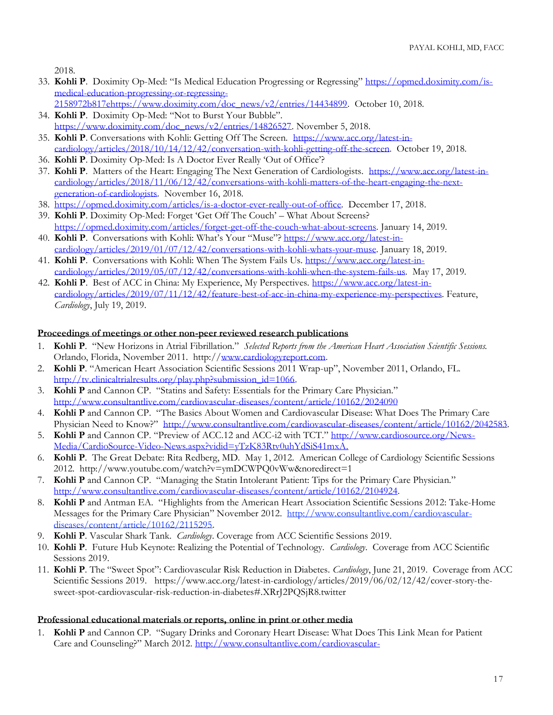2018.

- 33. **Kohli P**. Doximity Op-Med: "Is Medical Education Progressing or Regressing" [https://opmed.doximity.com/is](https://opmed.doximity.com/is-medical-education-progressing-or-regressing-2158972b817e)[medical-education-progressing-or-regressing-](https://opmed.doximity.com/is-medical-education-progressing-or-regressing-2158972b817e)
- [2158972b817e](https://opmed.doximity.com/is-medical-education-progressing-or-regressing-2158972b817e)[https://www.doximity.com/doc\\_news/v2/entries/14434899.](https://www.doximity.com/doc_news/v2/entries/14434899) October 10, 2018. 34. **Kohli P**. Doximity Op-Med: "Not to Burst Your Bubble".
- [https://www.doximity.com/doc\\_news/v2/entries/14826527.](https://www.doximity.com/doc_news/v2/entries/14826527) November 5, 2018. 35. **Kohli P**. Conversations with Kohli: Getting Off The Screen. [https://www.acc.org/latest-in-](https://www.acc.org/latest-in-cardiology/articles/2018/10/14/12/42/conversation-with-kohli-getting-off-the-screen)
- [cardiology/articles/2018/10/14/12/42/conversation-with-kohli-getting-off-the-screen.](https://www.acc.org/latest-in-cardiology/articles/2018/10/14/12/42/conversation-with-kohli-getting-off-the-screen) October 19, 2018. 36. **Kohli P**. Doximity Op-Med: Is A Doctor Ever Really 'Out of Office'?
- 37. **Kohli P**. Matters of the Heart: Engaging The Next Generation of Cardiologists. [https://www.acc.org/latest-in](https://www.acc.org/latest-in-cardiology/articles/2018/11/06/12/42/conversations-with-kohli-matters-of-the-heart-engaging-the-next-generation-of-cardiologists)[cardiology/articles/2018/11/06/12/42/conversations-with-kohli-matters-of-the-heart-engaging-the-next](https://www.acc.org/latest-in-cardiology/articles/2018/11/06/12/42/conversations-with-kohli-matters-of-the-heart-engaging-the-next-generation-of-cardiologists)[generation-of-cardiologists.](https://www.acc.org/latest-in-cardiology/articles/2018/11/06/12/42/conversations-with-kohli-matters-of-the-heart-engaging-the-next-generation-of-cardiologists) November 16, 2018.
- 38. [https://opmed.doximity.com/articles/is-a-doctor-ever-really-out-of-office.](https://opmed.doximity.com/articles/is-a-doctor-ever-really-out-of-office) December 17, 2018.
- 39. **Kohli P**. Doximity Op-Med: Forget 'Get Off The Couch' What About Screens? [https://opmed.doximity.com/articles/forget-get-off-the-couch-what-about-screens.](https://opmed.doximity.com/articles/forget-get-off-the-couch-what-about-screens) January 14, 2019.
- 40. **Kohli P**. Conversations with Kohli: What's Your "Muse"? [https://www.acc.org/latest-in](https://www.acc.org/latest-in-cardiology/articles/2019/01/07/12/42/conversations-with-kohli-whats-your-muse)[cardiology/articles/2019/01/07/12/42/conversations-with-kohli-whats-your-muse.](https://www.acc.org/latest-in-cardiology/articles/2019/01/07/12/42/conversations-with-kohli-whats-your-muse) January 18, 2019.
- 41. **Kohli P**. Conversations with Kohli: When The System Fails Us. [https://www.acc.org/latest-in](https://www.acc.org/latest-in-cardiology/articles/2019/05/07/12/42/conversations-with-kohli-when-the-system-fails-us)[cardiology/articles/2019/05/07/12/42/conversations-with-kohli-when-the-system-fails-us.](https://www.acc.org/latest-in-cardiology/articles/2019/05/07/12/42/conversations-with-kohli-when-the-system-fails-us) May 17, 2019.
- 42. **Kohli P**. Best of ACC in China: My Experience, My Perspectives. [https://www.acc.org/latest-in](https://www.acc.org/latest-in-cardiology/articles/2019/07/11/12/42/feature-best-of-acc-in-china-my-experience-my-perspectives)[cardiology/articles/2019/07/11/12/42/feature-best-of-acc-in-china-my-experience-my-perspectives.](https://www.acc.org/latest-in-cardiology/articles/2019/07/11/12/42/feature-best-of-acc-in-china-my-experience-my-perspectives) Feature, *Cardiology*, July 19, 2019.

#### **Proceedings of meetings or other non-peer reviewed research publications**

- 1. **Kohli P**. "New Horizons in Atrial Fibrillation." *Selected Reports from the American Heart Association Scientific Sessions.*  Orlando, Florida, November 2011. http:/[/www.cardiologyreport.com.](http://www.cardiologyreport.com/)
- 2. **Kohli P**. "American Heart Association Scientific Sessions 2011 Wrap-up", November 2011, Orlando, FL. [http://tv.clinicaltrialresults.org/play.php?submission\\_id=1066.](http://tv.clinicaltrialresults.org/play.php?submission_id=1066)
- 3. **Kohli P** and Cannon CP. "Statins and Safety: Essentials for the Primary Care Physician." <http://www.consultantlive.com/cardiovascular-diseases/content/article/10162/2024090>
- 4. **Kohli P** and Cannon CP. "The Basics About Women and Cardiovascular Disease: What Does The Primary Care Physician Need to Know?" [http://www.consultantlive.com/cardiovascular-diseases/content/article/10162/2042583.](http://www.consultantlive.com/cardiovascular-diseases/content/article/10162/2042583)
- 5. **Kohli P** and Cannon CP. "Preview of ACC.12 and ACC-i2 with TCT." [http://www.cardiosource.org/News-](http://www.cardiosource.org/News-Media/CardioSource-Video-News.aspx?vidid=yTzK83Rtv0uhYdSiS41mxA)[Media/CardioSource-Video-News.aspx?vidid=yTzK83Rtv0uhYdSiS41mxA.](http://www.cardiosource.org/News-Media/CardioSource-Video-News.aspx?vidid=yTzK83Rtv0uhYdSiS41mxA)
- 6. **Kohli P**. The Great Debate: Rita Redberg, MD. May 1, 2012. American College of Cardiology Scientific Sessions 2012. http://www.youtube.com/watch?v=ymDCWPQ0vWw&noredirect=1
- 7. **Kohli P** and Cannon CP. "Managing the Statin Intolerant Patient: Tips for the Primary Care Physician." [http://www.consultantlive.com/cardiovascular-diseases/content/article/10162/2104924.](http://www.consultantlive.com/cardiovascular-diseases/content/article/10162/2104924)
- 8. **Kohli P** and Antman EA. "Highlights from the American Heart Association Scientific Sessions 2012: Take-Home Messages for the Primary Care Physician" November 2012. [http://www.consultantlive.com/cardiovascular](http://www.consultantlive.com/cardiovascular-diseases/content/article/10162/2115295)[diseases/content/article/10162/2115295.](http://www.consultantlive.com/cardiovascular-diseases/content/article/10162/2115295)
- 9. **Kohli P**. Vascular Shark Tank. *Cardiology*. Coverage from ACC Scientific Sessions 2019.
- 10. **Kohli P**. Future Hub Keynote: Realizing the Potential of Technology. *Cardiology*. Coverage from ACC Scientific Sessions 2019.
- 11. **Kohli P**. The "Sweet Spot": Cardiovascular Risk Reduction in Diabetes. *Cardiology*, June 21, 2019. Coverage from ACC Scientific Sessions 2019. https://www.acc.org/latest-in-cardiology/articles/2019/06/02/12/42/cover-story-thesweet-spot-cardiovascular-risk-reduction-in-diabetes#.XRrJ2PQSjR8.twitter

#### **Professional educational materials or reports, online in print or other media**

1. **Kohli P** and Cannon CP. "Sugary Drinks and Coronary Heart Disease: What Does This Link Mean for Patient Care and Counseling?" March 2012. [http://www.consultantlive.com/cardiovascular-](http://www.consultantlive.com/cardiovascular-diseases/content/article/10162/2049122)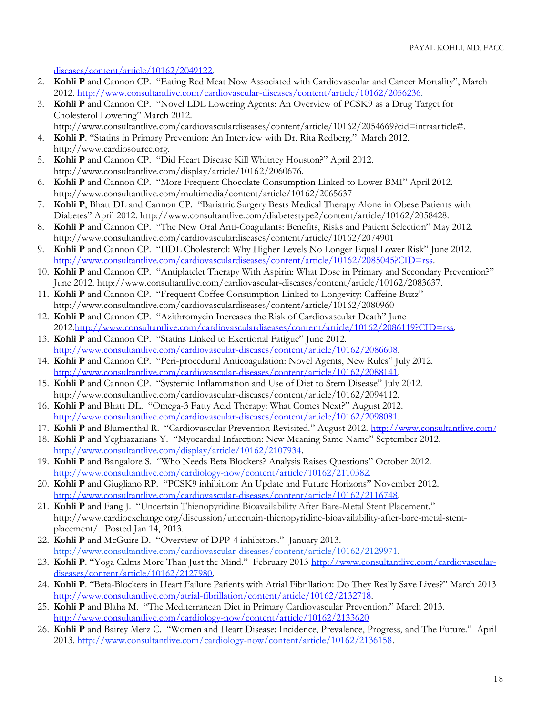[diseases/content/article/10162/2049122.](http://www.consultantlive.com/cardiovascular-diseases/content/article/10162/2049122)

- 2. **Kohli P** and Cannon CP. "Eating Red Meat Now Associated with Cardiovascular and Cancer Mortality", March 2012. [http://www.consultantlive.com/cardiovascular-diseases/content/article/10162/2056236.](http://www.consultantlive.com/cardiovascular-diseases/content/article/10162/2056236)
- 3. **Kohli P** and Cannon CP. "Novel LDL Lowering Agents: An Overview of PCSK9 as a Drug Target for Cholesterol Lowering" March 2012.

http://www.consultantlive.com/cardiovasculardiseases/content/article/10162/2054669?cid=intraarticle#.

- 4. **Kohli P**. "Statins in Primary Prevention: An Interview with Dr. Rita Redberg." March 2012. http://www.cardiosource.org.
- 5. **Kohli P** and Cannon CP. "Did Heart Disease Kill Whitney Houston?" April 2012. http://www.consultantlive.com/display/article/10162/2060676.
- 6. **Kohli P** and Cannon CP. "More Frequent Chocolate Consumption Linked to Lower BMI" April 2012. http://www.consultantlive.com/multimedia/content/article/10162/2065637
- 7. **Kohli P**, Bhatt DL and Cannon CP. "Bariatric Surgery Bests Medical Therapy Alone in Obese Patients with Diabetes" April 2012. http://www.consultantlive.com/diabetestype2/content/article/10162/2058428.
- 8. **Kohli P** and Cannon CP. "The New Oral Anti-Coagulants: Benefits, Risks and Patient Selection" May 2012. [http://www.consultantlive.com/cardiovasculardiseases/content/article/10162/2074901](http://www.consultantlive.com/cardiovascular-diseases/content/article/10162/2074901)
- 9. **Kohli P** and Cannon CP. "HDL Cholesterol: Why Higher Levels No Longer Equal Lower Risk" June 2012. [http://www.consultantlive.com/cardiovasculardiseases/content/article/10162/2085045?CID=rss.](http://www.consultantlive.com/cardiovasculardiseases/content/article/10162/2085045?CID=rss)
- 10. **Kohli P** and Cannon CP. "Antiplatelet Therapy With Aspirin: What Dose in Primary and Secondary Prevention?" June 2012. [http://www.consultantlive.com/cardiovascular-diseases/content/article/10162/2083637.](http://www.consultantlive.com/cardiovascular-diseases/content/article/10162/2083637)
- 11. **Kohli P** and Cannon CP. "Frequent Coffee Consumption Linked to Longevity: Caffeine Buzz" http://www.consultantlive.com/cardiovasculardiseases/content/article/10162/2080960
- 12. **Kohli P** and Cannon CP. "Azithromycin Increases the Risk of Cardiovascular Death" June 201[2.http://www.consultantlive.com/cardiovasculardiseases/content/article/10162/2086119?CID=rss.](http://www.consultantlive.com/cardiovasculardiseases/content/article/10162/2086119?CID=rss)
- 13. **Kohli P** and Cannon CP. "Statins Linked to Exertional Fatigue" June 2012. [http://www.consultantlive.com/cardiovascular-diseases/content/article/10162/2086608.](http://www.consultantlive.com/cardiovascular-diseases/content/article/10162/2086608)
- 14. **Kohli P** and Cannon CP. "Peri-procedural Anticoagulation: Novel Agents, New Rules" July 2012. [http://www.consultantlive.com/cardiovascular-diseases/content/article/10162/2088141.](http://www.consultantlive.com/cardiovascular-diseases/content/article/10162/2088141)
- 15. **Kohli P** and Cannon CP. "Systemic Inflammation and Use of Diet to Stem Disease" July 2012. http://www.consultantlive.com/cardiovascular-diseases/content/article/10162/2094112.
- 16. **Kohli P** and Bhatt DL. "Omega-3 Fatty Acid Therapy: What Comes Next?" August 2012. [http://www.consultantlive.com/cardiovascular-diseases/content/article/10162/2098081.](http://www.consultantlive.com/cardiovascular-diseases/content/article/10162/2098081)
- 17. **Kohli P** and Blumenthal R. "Cardiovascular Prevention Revisited." August 2012. [http://www.consultantlive.com/.](http://www.consultantlive.com/)
- 18. **Kohli P** and Yeghiazarians Y. "Myocardial Infarction: New Meaning Same Name" September 2012. [http://www.consultantlive.com/display/article/10162/2107934.](http://www.consultantlive.com/display/article/10162/2107934)
- 19. **Kohli P** and Bangalore S. "Who Needs Beta Blockers? Analysis Raises Questions" October 2012. http://www.consultantlive.com/cardiology-now/content/article/10162/2110382.
- 20. **Kohli P** and Giugliano RP. "PCSK9 inhibition: An Update and Future Horizons" November 2012. [http://www.consultantlive.com/cardiovascular-diseases/content/article/10162/2116748.](http://www.consultantlive.com/cardiovascular-diseases/content/article/10162/2116748)
- 21. **Kohli P** and Fang J. "[Uncertain Thienopyridine Bioavailability After Bare-Metal Stent Placement](http://www.cardioexchange.org/discussion/uncertain-thienopyridine-bioavailability-after-bare-metal-stent-placement/)." http://www.cardioexchange.org/discussion/uncertain-thienopyridine-bioavailability-after-bare-metal-stentplacement/. Posted Jan 14, 2013.
- 22. **Kohli P** and McGuire D. "Overview of DPP-4 inhibitors." January 2013. [http://www.consultantlive.com/cardiovascular-diseases/content/article/10162/2129971.](http://www.consultantlive.com/cardiovascular-diseases/content/article/10162/2129971)
- 23. **Kohli P**. "Yoga Calms More Than Just the Mind." February 2013 [http://www.consultantlive.com/cardiovascular](http://www.consultantlive.com/cardiovascular-diseases/content/article/10162/2127980)[diseases/content/article/10162/2127980.](http://www.consultantlive.com/cardiovascular-diseases/content/article/10162/2127980)
- 24. **Kohli P**. "Beta-Blockers in Heart Failure Patients with Atrial Fibrillation: Do They Really Save Lives?" March 2013. [http://www.consultantlive.com/atrial-fibrillation/content/article/10162/2132718.](http://www.consultantlive.com/atrial-fibrillation/content/article/10162/2132718)
- 25. **Kohli P** and Blaha M. "The Mediterranean Diet in Primary Cardiovascular Prevention." March 2013. <http://www.consultantlive.com/cardiology-now/content/article/10162/2133620>
- 26. **Kohli P** and Bairey Merz C. "Women and Heart Disease: Incidence, Prevalence, Progress, and The Future." April 2013. [http://www.consultantlive.com/cardiology-now/content/article/10162/2136158.](http://www.consultantlive.com/cardiology-now/content/article/10162/2136158)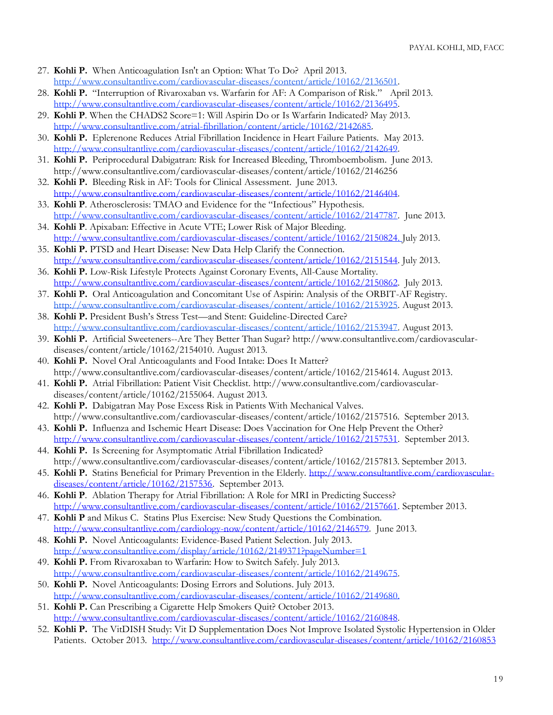- 27. **Kohli P.** When Anticoagulation Isn't an Option: What To Do? April 2013. [http://www.consultantlive.com/cardiovascular-diseases/content/article/10162/2136501.](http://www.consultantlive.com/cardiovascular-diseases/content/article/10162/2136501)
- 28. **Kohli P.** "Interruption of Rivaroxaban vs. Warfarin for AF: A Comparison of Risk." April 2013. [http://www.consultantlive.com/cardiovascular-diseases/content/article/10162/2136495.](http://www.consultantlive.com/cardiovascular-diseases/content/article/10162/2136495)
- 29. **Kohli P**. When the CHADS2 Score=1: Will Aspirin Do or Is Warfarin Indicated? May 2013. [http://www.consultantlive.com/atrial-fibrillation/content/article/10162/2142685.](http://www.consultantlive.com/atrial-fibrillation/content/article/10162/2142685)
- 30. **Kohli P.** Eplerenone Reduces Atrial Fibrillation Incidence in Heart Failure Patients. May 2013. [http://www.consultantlive.com/cardiovascular-diseases/content/article/10162/2142649.](http://www.consultantlive.com/cardiovascular-diseases/content/article/10162/2142649)
- 31. **Kohli P.** Periprocedural Dabigatran: Risk for Increased Bleeding, Thromboembolism. June 2013. http://www.consultantlive.com/cardiovascular-diseases/content/article/10162/2146256
- 32. **Kohli P.** Bleeding Risk in AF: Tools for Clinical Assessment. June 2013. [http://www.consultantlive.com/cardiovascular-diseases/content/article/10162/2146404.](http://www.consultantlive.com/cardiovascular-diseases/content/article/10162/2146404)
- 33. **Kohli P**. Atherosclerosis: TMAO and Evidence for the "Infectious" Hypothesis. [http://www.consultantlive.com/cardiovascular-diseases/content/article/10162/2147787.](http://www.consultantlive.com/cardiovascular-diseases/content/article/10162/2147787) June 2013.
- 34. **Kohli P**. Apixaban: Effective in Acute VTE; Lower Risk of Major Bleeding. [http://www.consultantlive.com/cardiovascular-diseases/content/article/10162/2150824.](http://www.consultantlive.com/cardiovascular-diseases/content/article/10162/2150824) July 2013.
- 35. **Kohli P.** PTSD and Heart Disease: New Data Help Clarify the Connection. [http://www.consultantlive.com/cardiovascular-diseases/content/article/10162/2151544.](http://www.consultantlive.com/cardiovascular-diseases/content/article/10162/2151544) July 2013.
- 36. **Kohli P.** Low-Risk Lifestyle Protects Against Coronary Events, All-Cause Mortality. [http://www.consultantlive.com/cardiovascular-diseases/content/article/10162/2150862.](http://www.consultantlive.com/cardiovascular-diseases/content/article/10162/2150862) July 2013.
- 37. **Kohli P.** Oral Anticoagulation and Concomitant Use of Aspirin: Analysis of the ORBIT-AF Registry. [http://www.consultantlive.com/cardiovascular-diseases/content/article/10162/2153925.](http://www.consultantlive.com/cardiovascular-diseases/content/article/10162/2153925) August 2013.
- 38. **Kohli P.** President Bush's Stress Test—and Stent: Guideline-Directed Care? [http://www.consultantlive.com/cardiovascular-diseases/content/article/10162/2153947.](http://www.consultantlive.com/cardiovascular-diseases/content/article/10162/2153947) August 2013.
- 39. **Kohli P.** Artificial Sweeteners--Are They Better Than Sugar? http://www.consultantlive.com/cardiovasculardiseases/content/article/10162/2154010. August 2013.
- 40. **Kohli P.** Novel Oral Anticoagulants and Food Intake: Does It Matter? http://www.consultantlive.com/cardiovascular-diseases/content/article/10162/2154614. August 2013.
- 41. **Kohli P.** Atrial Fibrillation: Patient Visit Checklist. http://www.consultantlive.com/cardiovasculardiseases/content/article/10162/2155064. August 2013.
- 42. **Kohli P.** Dabigatran May Pose Excess Risk in Patients With Mechanical Valves. http://www.consultantlive.com/cardiovascular-diseases/content/article/10162/2157516. September 2013.
- 43. **Kohli P.** Influenza and Ischemic Heart Disease: Does Vaccination for One Help Prevent the Other? [http://www.consultantlive.com/cardiovascular-diseases/content/article/10162/2157531.](http://www.consultantlive.com/cardiovascular-diseases/content/article/10162/2157531) September 2013.
- 44. **Kohli P.** Is Screening for Asymptomatic Atrial Fibrillation Indicated? http://www.consultantlive.com/cardiovascular-diseases/content/article/10162/2157813. September 2013.
- 45. **Kohli P.** Statins Beneficial for Primary Prevention in the Elderly. [http://www.consultantlive.com/cardiovascular](http://www.consultantlive.com/cardiovascular-diseases/content/article/10162/2157536)[diseases/content/article/10162/2157536.](http://www.consultantlive.com/cardiovascular-diseases/content/article/10162/2157536) September 2013.
- 46. **Kohli P**. Ablation Therapy for Atrial Fibrillation: A Role for MRI in Predicting Success? [http://www.consultantlive.com/cardiovascular-diseases/content/article/10162/2157661.](http://www.consultantlive.com/cardiovascular-diseases/content/article/10162/2157661) September 2013.
- 47. **Kohli P** and Mikus C. Statins Plus Exercise: New Study Questions the Combination. [http://www.consultantlive.com/cardiology-now/content/article/10162/2146579.](http://www.consultantlive.com/cardiology-now/content/article/10162/2146579) June 2013.
- 48. **Kohli P.** Novel Anticoagulants: Evidence-Based Patient Selection. July 2013. <http://www.consultantlive.com/display/article/10162/2149371?pageNumber=1>
- 49. **Kohli P.** From Rivaroxaban to Warfarin: How to Switch Safely. July 2013. [http://www.consultantlive.com/cardiovascular-diseases/content/article/10162/2149675.](http://www.consultantlive.com/cardiovascular-diseases/content/article/10162/2149675)
- 50. **Kohli P.** Novel Anticoagulants: Dosing Errors and Solutions. July 2013. [http://www.consultantlive.com/cardiovascular-diseases/content/article/10162/2149680.](http://www.consultantlive.com/cardiovascular-diseases/content/article/10162/2149680)
- 51. **Kohli P.** Can Prescribing a Cigarette Help Smokers Quit? October 2013. [http://www.consultantlive.com/cardiovascular-diseases/content/article/10162/2160848.](http://www.consultantlive.com/cardiovascular-diseases/content/article/10162/2160848)
- 52. **Kohli P.** The VitDISH Study: Vit D Supplementation Does Not Improve Isolated Systolic Hypertension in Older Patients. October 2013. [http://www.consultantlive.com/cardiovascular-diseases/content/article/10162/2160853.](http://www.consultantlive.com/cardiovascular-diseases/content/article/10162/2160853)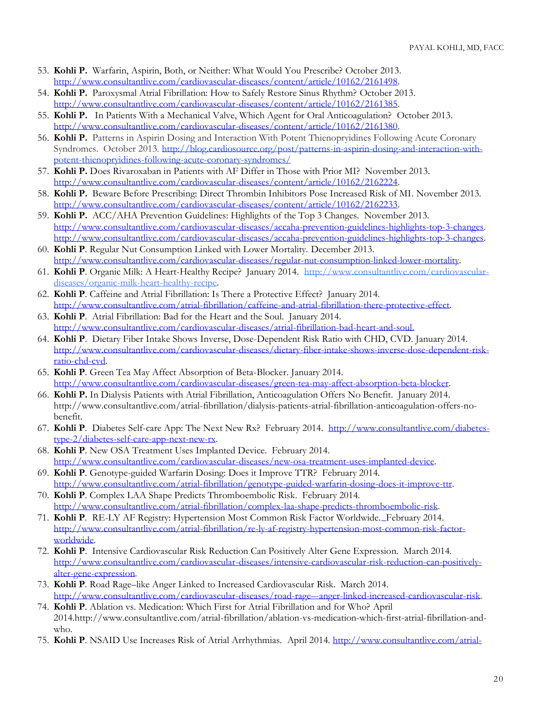- 53. **Kohli P.** Warfarin, Aspirin, Both, or Neither: What Would You Prescribe? October 2013. [http://www.consultantlive.com/cardiovascular-diseases/content/article/10162/2161498.](http://www.consultantlive.com/cardiovascular-diseases/content/article/10162/2161498)
- 54. **Kohli P.** Paroxysmal Atrial Fibrillation: How to Safely Restore Sinus Rhythm? October 2013. [http://www.consultantlive.com/cardiovascular-diseases/content/article/10162/2161385.](http://www.consultantlive.com/cardiovascular-diseases/content/article/10162/2161385)
- 55. **Kohli P.** In Patients With a Mechanical Valve, Which Agent for Oral Anticoagulation? October 2013. [http://www.consultantlive.com/cardiovascular-diseases/content/article/10162/2161380.](http://www.consultantlive.com/cardiovascular-diseases/content/article/10162/2161380)
- 56. **Kohli P.** Patterns in Aspirin Dosing and Interaction With Potent Thienopryidines Following Acute Coronary Syndromes. October 2013. [http://blog.cardiosource.org/post/patterns-in-aspirin-dosing-and-interaction-with](http://blog.cardiosource.org/post/patterns-in-aspirin-dosing-and-interaction-with-potent-thienopryidines-following-acute-coronary-syndromes/)[potent-thienopryidines-following-acute-coronary-syndromes/](http://blog.cardiosource.org/post/patterns-in-aspirin-dosing-and-interaction-with-potent-thienopryidines-following-acute-coronary-syndromes/)
- 57. **Kohli P.** Does Rivaroxaban in Patients with AF Differ in Those with Prior MI? November 2013. [http://www.consultantlive.com/cardiovascular-diseases/content/article/10162/2162224.](http://www.consultantlive.com/cardiovascular-diseases/content/article/10162/2162224)
- 58. **Kohli P.** Beware Before Prescribing: Direct Thrombin Inhibitors Pose Increased Risk of MI. November 2013. [http://www.consultantlive.com/cardiovascular-diseases/content/article/10162/2162233.](http://www.consultantlive.com/cardiovascular-diseases/content/article/10162/2162233)
- 59. **Kohli P.** ACC/AHA Prevention Guidelines: Highlights of the Top 3 Changes. November 2013. [http://www.consultantlive.com/cardiovascular-diseases/accaha-prevention-guidelines-highlights-top-3-changes.](http://www.consultantlive.com/cardiovascular-diseases/accaha-prevention-guidelines-highlights-top-3-changes) [http://www.consultantlive.com/cardiovascular-diseases/accaha-prevention-guidelines-highlights-top-3-changes.](http://www.consultantlive.com/cardiovascular-diseases/accaha-prevention-guidelines-highlights-top-3-changes)
- 60. **Kohli P**. Regular Nut Consumption Linked with Lower Mortality. December 2013. [http://www.consultantlive.com/cardiovascular-diseases/regular-nut-consumption-linked-lower-mortality.](http://www.consultantlive.com/cardiovascular-diseases/regular-nut-consumption-linked-lower-mortality)
- 61. **Kohli P**. Organic Milk: A Heart-Healthy Recipe? January 2014. [http://www.consultantlive.com/cardiovascular](http://www.consultantlive.com/cardiovascular-diseases/organic-milk-heart-healthy-recipe)[diseases/organic-milk-heart-healthy-recipe.](http://www.consultantlive.com/cardiovascular-diseases/organic-milk-heart-healthy-recipe)
- 62. **Kohli P**. Caffeine and Atrial Fibrillation: Is There a Protective Effect? January 2014. [http://www.consultantlive.com/atrial-fibrillation/caffeine-and-atrial-fibrillation-there-protective-effect.](http://www.consultantlive.com/atrial-fibrillation/caffeine-and-atrial-fibrillation-there-protective-effect)
- 63. **Kohli P**. Atrial Fibrillation: Bad for the Heart and the Soul. January 2014. [http://www.consultantlive.com/cardiovascular-diseases/atrial-fibrillation-bad-heart-and-soul.](http://www.consultantlive.com/cardiovascular-diseases/atrial-fibrillation-bad-heart-and-soul)
- 64. **Kohli P**. Dietary Fiber Intake Shows Inverse, Dose-Dependent Risk Ratio with CHD, CVD. January 2014. [http://www.consultantlive.com/cardiovascular-diseases/dietary-fiber-intake-shows-inverse-dose-dependent-risk](http://www.consultantlive.com/cardiovascular-diseases/dietary-fiber-intake-shows-inverse-dose-dependent-risk-ratio-chd-cvd)[ratio-chd-cvd.](http://www.consultantlive.com/cardiovascular-diseases/dietary-fiber-intake-shows-inverse-dose-dependent-risk-ratio-chd-cvd)
- 65. **Kohli P**. Green Tea May Affect Absorption of Beta-Blocker. January 2014. [http://www.consultantlive.com/cardiovascular-diseases/green-tea-may-affect-absorption-beta-blocker.](http://www.consultantlive.com/cardiovascular-diseases/green-tea-may-affect-absorption-beta-blocker)
- 66. **Kohli P.** In Dialysis Patients with Atrial Fibrillation, Anticoagulation Offers No Benefit. January 2014. http://www.consultantlive.com/atrial-fibrillation/dialysis-patients-atrial-fibrillation-anticoagulation-offers-nobenefit.
- 67. **Kohli P**. Diabetes Self-care App: The Next New Rx? February 2014. [http://www.consultantlive.com/diabetes](http://www.consultantlive.com/diabetes-type-2/diabetes-self-care-app-next-new-rx)[type-2/diabetes-self-care-app-next-new-rx.](http://www.consultantlive.com/diabetes-type-2/diabetes-self-care-app-next-new-rx)
- 68. **Kohli P**. New OSA Treatment Uses Implanted Device. February 2014. [http://www.consultantlive.com/cardiovascular-diseases/new-osa-treatment-uses-implanted-device.](http://www.consultantlive.com/cardiovascular-diseases/new-osa-treatment-uses-implanted-device)
- 69. **Kohli P**. [Genotype-guided Warfarin Dosing: Does it Improve TTR?](http://www.consultantlive.com/atrial-fibrillation/genotype-guided-warfarin-dosing-does-it-improve-ttr) February 2014. [http://www.consultantlive.com/atrial-fibrillation/genotype-guided-warfarin-dosing-does-it-improve-ttr.](http://www.consultantlive.com/atrial-fibrillation/genotype-guided-warfarin-dosing-does-it-improve-ttr)
- 70. **Kohli P**. [Complex LAA Shape Predicts Thromboembolic Risk.](http://www.consultantlive.com/atrial-fibrillation/complex-laa-shape-predicts-thromboembolic-risk) February 2014. [http://www.consultantlive.com/atrial-fibrillation/complex-laa-shape-predicts-thromboembolic-risk.](http://www.consultantlive.com/atrial-fibrillation/complex-laa-shape-predicts-thromboembolic-risk)
- 71. **Kohli P**. RE-LY AF Registry: Hypertension Most Common Risk Factor Worldwide. February 2014. [http://www.consultantlive.com/atrial-fibrillation/re-ly-af-registry-hypertension-most-common-risk-factor](http://www.consultantlive.com/atrial-fibrillation/re-ly-af-registry-hypertension-most-common-risk-factor-worldwide)[worldwide.](http://www.consultantlive.com/atrial-fibrillation/re-ly-af-registry-hypertension-most-common-risk-factor-worldwide)
- 72. **Kohli P**. Intensive Cardiovascular Risk Reduction Can Positively Alter Gene Expression. March 2014. [http://www.consultantlive.com/cardiovascular-diseases/intensive-cardiovascular-risk-reduction-can-positively](http://www.consultantlive.com/cardiovascular-diseases/intensive-cardiovascular-risk-reduction-can-positively-alter-gene-expression)[alter-gene-expression.](http://www.consultantlive.com/cardiovascular-diseases/intensive-cardiovascular-risk-reduction-can-positively-alter-gene-expression)
- 73. **Kohli P**. Road Rage–like Anger Linked to Increased Cardiovascular Risk. March 2014. [http://www.consultantlive.com/cardiovascular-diseases/road-rage](http://www.consultantlive.com/cardiovascular-diseases/road-rage–-anger-linked-increased-cardiovascular-risk)–-anger-linked-increased-cardiovascular-risk.
- 74. **Kohli P**. Ablation vs. Medication: Which First for Atrial Fibrillation and for Who? April 2014.http://www.consultantlive.com/atrial-fibrillation/ablation-vs-medication-which-first-atrial-fibrillation-andwho.
- 75. **Kohli P**. NSAID Use Increases Risk of Atrial Arrhythmias. April 2014. [http://www.consultantlive.com/atrial-](http://www.consultantlive.com/atrial-fibrillation/nsaid-use-increases-risk-atrial-arrhythmias)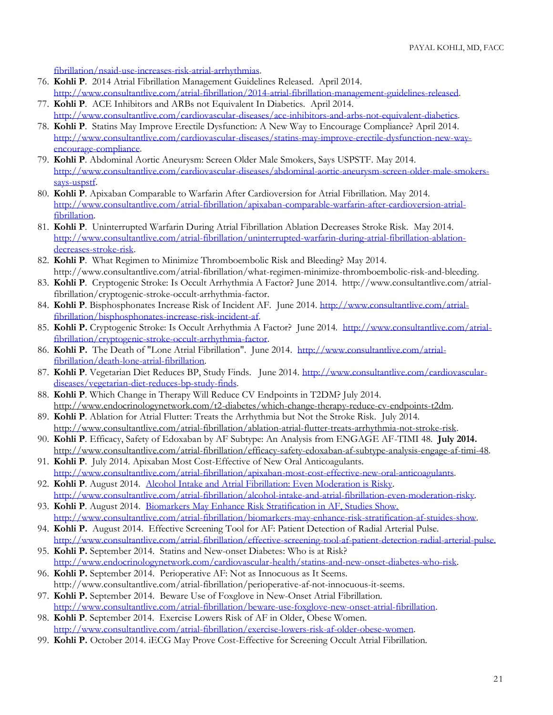[fibrillation/nsaid-use-increases-risk-atrial-arrhythmias.](http://www.consultantlive.com/atrial-fibrillation/nsaid-use-increases-risk-atrial-arrhythmias)

- 76. **Kohli P**. 2014 Atrial Fibrillation Management Guidelines Released. April 2014. [http://www.consultantlive.com/atrial-fibrillation/2014-atrial-fibrillation-management-guidelines-released.](http://www.consultantlive.com/atrial-fibrillation/2014-atrial-fibrillation-management-guidelines-released)
- 77. **Kohli P**.ACE Inhibitors and ARBs not Equivalent In Diabetics. April 2014. [http://www.consultantlive.com/cardiovascular-diseases/ace-inhibitors-and-arbs-not-equivalent-diabetics.](http://www.consultantlive.com/cardiovascular-diseases/ace-inhibitors-and-arbs-not-equivalent-diabetics)
- 78. **Kohli P**.Statins May Improve Erectile Dysfunction: A New Way to Encourage Compliance? April 2014. [http://www.consultantlive.com/cardiovascular-diseases/statins-may-improve-erectile-dysfunction-new-way](http://www.consultantlive.com/cardiovascular-diseases/statins-may-improve-erectile-dysfunction-new-way-encourage-compliance)[encourage-compliance.](http://www.consultantlive.com/cardiovascular-diseases/statins-may-improve-erectile-dysfunction-new-way-encourage-compliance)
- 79. **Kohli P**. Abdominal Aortic Aneurysm: Screen Older Male Smokers, Says USPSTF. May 2014. [http://www.consultantlive.com/cardiovascular-diseases/abdominal-aortic-aneurysm-screen-older-male-smokers](http://www.consultantlive.com/cardiovascular-diseases/abdominal-aortic-aneurysm-screen-older-male-smokers-says-uspstf)[says-uspstf.](http://www.consultantlive.com/cardiovascular-diseases/abdominal-aortic-aneurysm-screen-older-male-smokers-says-uspstf)
- 80. **Kohli P**. Apixaban Comparable to Warfarin After Cardioversion for Atrial Fibrillation. May 2014. [http://www.consultantlive.com/atrial-fibrillation/apixaban-comparable-warfarin-after-cardioversion-atrial](http://www.consultantlive.com/atrial-fibrillation/apixaban-comparable-warfarin-after-cardioversion-atrial-fibrillation)[fibrillation.](http://www.consultantlive.com/atrial-fibrillation/apixaban-comparable-warfarin-after-cardioversion-atrial-fibrillation)
- 81. **Kohli P**. Uninterrupted Warfarin During Atrial Fibrillation Ablation Decreases Stroke Risk. May 2014. [http://www.consultantlive.com/atrial-fibrillation/uninterrupted-warfarin-during-atrial-fibrillation-ablation](http://www.consultantlive.com/atrial-fibrillation/uninterrupted-warfarin-during-atrial-fibrillation-ablation-decreases-stroke-risk)[decreases-stroke-risk.](http://www.consultantlive.com/atrial-fibrillation/uninterrupted-warfarin-during-atrial-fibrillation-ablation-decreases-stroke-risk)
- 82. **Kohli P**. What Regimen to Minimize Thromboembolic Risk and Bleeding? May 2014. http://www.consultantlive.com/atrial-fibrillation/what-regimen-minimize-thromboembolic-risk-and-bleeding.
- 83. **Kohli P**. Cryptogenic Stroke: Is Occult Arrhythmia A Factor? June 2014. http://www.consultantlive.com/atrialfibrillation/cryptogenic-stroke-occult-arrhythmia-factor.
- 84. **Kohli P**. Bisphosphonates Increase Risk of Incident AF. June 2014. [http://www.consultantlive.com/atrial](http://www.consultantlive.com/atrial-fibrillation/bisphosphonates-increase-risk-incident-af)[fibrillation/bisphosphonates-increase-risk-incident-af.](http://www.consultantlive.com/atrial-fibrillation/bisphosphonates-increase-risk-incident-af)
- 85. **Kohli P.** Cryptogenic Stroke: Is Occult Arrhythmia A Factor? June 2014. [http://www.consultantlive.com/atrial](http://www.consultantlive.com/atrial-fibrillation/cryptogenic-stroke-occult-arrhythmia-factor)[fibrillation/cryptogenic-stroke-occult-arrhythmia-factor.](http://www.consultantlive.com/atrial-fibrillation/cryptogenic-stroke-occult-arrhythmia-factor)
- 86. **Kohli P.** The Death of "Lone Atrial Fibrillation". June 2014. [http://www.consultantlive.com/atrial](http://www.consultantlive.com/atrial-fibrillation/death-lone-atrial-fibrillation)[fibrillation/death-lone-atrial-fibrillation.](http://www.consultantlive.com/atrial-fibrillation/death-lone-atrial-fibrillation)
- 87. **Kohli P**. Vegetarian Diet Reduces BP, Study Finds. June 2014. [http://www.consultantlive.com/cardiovascular](http://www.consultantlive.com/cardiovascular-diseases/vegetarian-diet-reduces-bp-study-finds)[diseases/vegetarian-diet-reduces-bp-study-finds.](http://www.consultantlive.com/cardiovascular-diseases/vegetarian-diet-reduces-bp-study-finds)
- 88. **Kohli P**. Which Change in Therapy Will Reduce CV Endpoints in T2DM? July 2014. [http://www.endocrinologynetwork.com/t2-diabetes/which-change-therapy-reduce-cv-endpoints-t2dm.](http://www.endocrinologynetwork.com/t2-diabetes/which-change-therapy-reduce-cv-endpoints-t2dm)
- 89. **Kohli P**. Ablation for Atrial Flutter: Treats the Arrhythmia but Not the Stroke Risk.July 2014. [http://www.consultantlive.com/atrial-fibrillation/ablation-atrial-flutter-treats-arrhythmia-not-stroke-risk.](http://www.consultantlive.com/atrial-fibrillation/ablation-atrial-flutter-treats-arrhythmia-not-stroke-risk)
- 90. **Kohli P**. Efficacy, Safety of Edoxaban by AF Subtype: An Analysis from ENGAGE AF-TIMI 48. **July 2014.**  [http://www.consultantlive.com/atrial-fibrillation/efficacy-safety-edoxaban-af-subtype-analysis-engage-af-timi-48.](http://www.consultantlive.com/atrial-fibrillation/efficacy-safety-edoxaban-af-subtype-analysis-engage-af-timi-48)
- 91. **Kohli P**. July 2014. Apixaban Most Cost-Effective of New Oral Anticoagulants. [http://www.consultantlive.com/atrial-fibrillation/apixaban-most-cost-effective-new-oral-anticoagulants.](http://www.consultantlive.com/atrial-fibrillation/apixaban-most-cost-effective-new-oral-anticoagulants)
- 92. **Kohli P**. August 2014. Alcohol Intake and Atrial Fibrillation: Even Moderation is Risky. [http://www.consultantlive.com/atrial-fibrillation/alcohol-intake-and-atrial-fibrillation-even-moderation-risky.](http://www.consultantlive.com/atrial-fibrillation/alcohol-intake-and-atrial-fibrillation-even-moderation-risky)
- 93. **Kohli P**. August 2014. Biomarkers May Enhance Risk Stratification in AF, Studies Show. [http://www.consultantlive.com/atrial-fibrillation/biomarkers-may-enhance-risk-stratification-af-stuides-show.](http://www.consultantlive.com/atrial-fibrillation/biomarkers-may-enhance-risk-stratification-af-stuides-show)
- 94. **Kohli P.** August 2014. Effective Screening Tool for AF: Patient Detection of Radial Arterial Pulse. [http://www.consultantlive.com/atrial-fibrillation/effective-screening-tool-af-patient-detection-radial-arterial-pulse.](http://www.consultantlive.com/atrial-fibrillation/effective-screening-tool-af-patient-detection-radial-arterial-pulse)
- 95. **Kohli P.** September 2014. Statins and New-onset Diabetes: Who is at Risk? [http://www.endocrinologynetwork.com/cardiovascular-health/statins-and-new-onset-diabetes-who-risk.](http://www.endocrinologynetwork.com/cardiovascular-health/statins-and-new-onset-diabetes-who-risk)
- 96. **Kohli P.** September 2014. Perioperative AF: Not as Innocuous as It Seems. http://www.consultantlive.com/atrial-fibrillation/perioperative-af-not-innocuous-it-seems.
- 97. **Kohli P.** September 2014. Beware Use of Foxglove in New-Onset Atrial Fibrillation. [http://www.consultantlive.com/atrial-fibrillation/beware-use-foxglove-new-onset-atrial-fibrillation.](http://www.consultantlive.com/atrial-fibrillation/beware-use-foxglove-new-onset-atrial-fibrillation)
- 98. **Kohli P**. September 2014. Exercise Lowers Risk of AF in Older, Obese Women. [http://www.consultantlive.com/atrial-fibrillation/exercise-lowers-risk-af-older-obese-women.](http://www.consultantlive.com/atrial-fibrillation/exercise-lowers-risk-af-older-obese-women)
- 99. Kohli P. October 2014. iECG May Prove Cost-Effective for Screening Occult Atrial Fibrillation.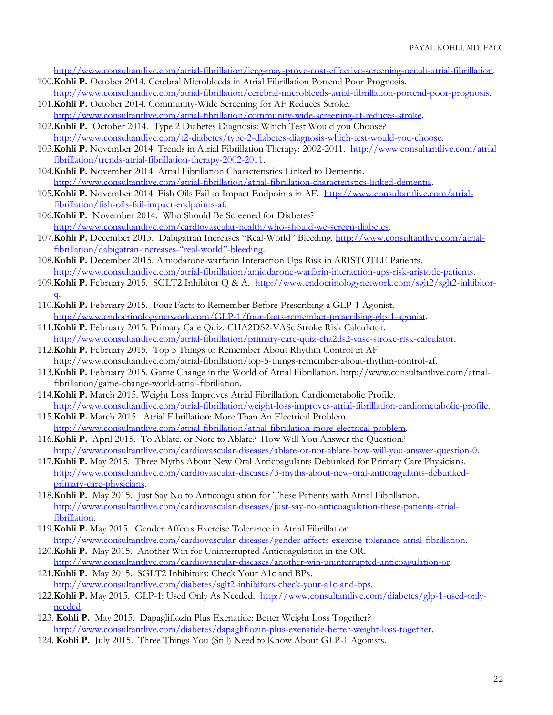[http://www.consultantlive.com/atrial-fibrillation/iecg-may-prove-cost-effective-screening-occult-atrial-fibrillation.](http://www.consultantlive.com/atrial-fibrillation/iecg-may-prove-cost-effective-screening-occult-atrial-fibrillation)

- 100.**Kohli P.** October 2014. Cerebral Microbleeds in Atrial Fibrillation Portend Poor Prognosis.
- [http://www.consultantlive.com/atrial-fibrillation/cerebral-microbleeds-atrial-fibrillation-portend-poor-prognosis.](http://www.consultantlive.com/atrial-fibrillation/cerebral-microbleeds-atrial-fibrillation-portend-poor-prognosis) 101.**Kohli P.** October 2014. Community-Wide Screening for AF Reduces Stroke.
- [http://www.consultantlive.com/atrial-fibrillation/community-wide-screening-af-reduces-stroke.](http://www.consultantlive.com/atrial-fibrillation/community-wide-screening-af-reduces-stroke)
- 102.**Kohli P.** October 2014. Type 2 Diabetes Diagnosis: Which Test Would you Choose? [http://www.consultantlive.com/t2-diabetes/type-2-diabetes-diagnosis-which-test-would-you-choose.](http://www.consultantlive.com/t2-diabetes/type-2-diabetes-diagnosis-which-test-would-you-choose)
- 103.**Kohli P.** November 2014. Trends in Atrial Fibrillation Therapy: 2002-2011. [http://www.consultantlive.com/atrial](http://www.consultantlive.com/atrial-fibrillation/trends-atrial-fibrillation-therapy-2002-2011)[fibrillation/trends-atrial-fibrillation-therapy-2002-2011.](http://www.consultantlive.com/atrial-fibrillation/trends-atrial-fibrillation-therapy-2002-2011)
- 104.**Kohli P.** November 2014. Atrial Fibrillation Characteristics Linked to Dementia. [http://www.consultantlive.com/atrial-fibrillation/atrial-fibrillation-characteristics-linked-dementia.](http://www.consultantlive.com/atrial-fibrillation/atrial-fibrillation-characteristics-linked-dementia)
- 105.**Kohli P.** November 2014. Fish Oils Fail to Impact Endpoints in AF. [http://www.consultantlive.com/atrial](http://www.consultantlive.com/atrial-fibrillation/fish-oils-fail-impact-endpoints-af)[fibrillation/fish-oils-fail-impact-endpoints-af.](http://www.consultantlive.com/atrial-fibrillation/fish-oils-fail-impact-endpoints-af)
- 106.**Kohli P.** November 2014. Who Should Be Screened for Diabetes? [http://www.consultantlive.com/cardiovascular-health/who-should-we-screen-diabetes.](http://www.consultantlive.com/cardiovascular-health/who-should-we-screen-diabetes)
- 107.**Kohli P.** December 2015. Dabigatran Increases "Real-World" Bleeding. [http://www.consultantlive.com/atrial](http://www.consultantlive.com/atrial-fibrillation/dabigatran-increases-)[fibrillation/dabigatran-increases-](http://www.consultantlive.com/atrial-fibrillation/dabigatran-increases-)"real-world"-bleeding.
- 108.**Kohli P.** December 2015. Amiodarone-warfarin Interaction Ups Risk in ARISTOTLE Patients. [http://www.consultantlive.com/atrial-fibrillation/amiodarone-warfarin-interaction-ups-risk-aristotle-patients.](http://www.consultantlive.com/atrial-fibrillation/amiodarone-warfarin-interaction-ups-risk-aristotle-patients)
- 109.**Kohli P.** February 2015. SGLT2 Inhibitor Q & A. [http://www.endocrinologynetwork.com/sglt2/sglt2-inhibitor-](http://www.endocrinologynetwork.com/sglt2/sglt2-inhibitor-q)
- [q.](http://www.endocrinologynetwork.com/sglt2/sglt2-inhibitor-q) 110.**Kohli P.** February 2015. Four Facts to Remember Before Prescribing a GLP-1 Agonist. [http://www.endocrinologynetwork.com/GLP-1/four-facts-remember-prescribing-glp-1-agonist.](http://www.endocrinologynetwork.com/GLP-1/four-facts-remember-prescribing-glp-1-agonist)
- 111.**Kohli P.** February 2015. Primary Care Quiz: CHA2DS2-VASc Stroke Risk Calculator. [http://www.consultantlive.com/atrial-fibrillation/primary-care-quiz-cha2ds2-vasc-stroke-risk-calculator.](http://www.consultantlive.com/atrial-fibrillation/primary-care-quiz-cha2ds2-vasc-stroke-risk-calculator)
- 112.**Kohli P.** February 2015. Top 5 Things to Remember About Rhythm Control in AF. http://www.consultantlive.com/atrial-fibrillation/top-5-things-remember-about-rhythm-control-af.
- 113.**Kohli P.** February 2015. Game Change in the World of Atrial Fibrillation. http://www.consultantlive.com/atrialfibrillation/game-change-world-atrial-fibrillation.
- 114.**Kohli P.** March 2015. Weight Loss Improves Atrial Fibrillation, Cardiometabolic Profile. [http://www.consultantlive.com/atrial-fibrillation/weight-loss-improves-atrial-fibrillation-cardiometabolic-profile.](http://www.consultantlive.com/atrial-fibrillation/weight-loss-improves-atrial-fibrillation-cardiometabolic-profile)
- 115.**Kohli P.** March 2015. Atrial Fibrillation: More Than An Electrical Problem. [http://www.consultantlive.com/atrial-fibrillation/atrial-fibrillation-more-electrical-problem.](http://www.consultantlive.com/atrial-fibrillation/atrial-fibrillation-more-electrical-problem)
- 116.**Kohli P.** April 2015. To Ablate, or Note to Ablate? How Will You Answer the Question? [http://www.consultantlive.com/cardiovascular-diseases/ablate-or-not-ablate-how-will-you-answer-question-0.](http://www.consultantlive.com/cardiovascular-diseases/ablate-or-not-ablate-how-will-you-answer-question-0)
- 117.**Kohli P.** May 2015. Three Myths About New Oral Anticoagulants Debunked for Primary Care Physicians. [http://www.consultantlive.com/cardiovascular-diseases/3-myths-about-new-oral-anticoagulants-debunked](http://www.consultantlive.com/cardiovascular-diseases/3-myths-about-new-oral-anticoagulants-debunked-primary-care-physicians)[primary-care-physicians.](http://www.consultantlive.com/cardiovascular-diseases/3-myths-about-new-oral-anticoagulants-debunked-primary-care-physicians)
- 118.**Kohli P.** May 2015. Just Say No to Anticoagulation for These Patients with Atrial Fibrillation. [http://www.consultantlive.com/cardiovascular-diseases/just-say-no-anticoagulation-these-patients-atrial](http://www.consultantlive.com/cardiovascular-diseases/just-say-no-anticoagulation-these-patients-atrial-fibrillation)[fibrillation.](http://www.consultantlive.com/cardiovascular-diseases/just-say-no-anticoagulation-these-patients-atrial-fibrillation)
- 119.**Kohli P.** May 2015. Gender Affects Exercise Tolerance in Atrial Fibrillation. [http://www.consultantlive.com/cardiovascular-diseases/gender-affects-exercise-tolerance-atrial-fibrillation.](http://www.consultantlive.com/cardiovascular-diseases/gender-affects-exercise-tolerance-atrial-fibrillation)
- 120.**Kohli P.** May 2015. Another Win for Uninterrupted Anticoagulation in the OR. [http://www.consultantlive.com/cardiovascular-diseases/another-win-uninterrupted-anticoagulation-or.](http://www.consultantlive.com/cardiovascular-diseases/another-win-uninterrupted-anticoagulation-or)
- 121.**Kohli P.** May 2015. SGLT2 Inhibitors: Check Your A1c and BPs. [http://www.consultantlive.com/diabetes/sglt2-inhibitors-check-your-a1c-and-bps.](http://www.consultantlive.com/diabetes/sglt2-inhibitors-check-your-a1c-and-bps)
- 122.**Kohli P.** May 2015. GLP-1: Used Only As Needed. [http://www.consultantlive.com/diabetes/glp-1-used-only](http://www.consultantlive.com/diabetes/glp-1-used-only-needed)[needed.](http://www.consultantlive.com/diabetes/glp-1-used-only-needed)
- 123. **Kohli P.** May 2015. Dapagliflozin Plus Exenatide: Better Weight Loss Together? [http://www.consultantlive.com/diabetes/dapagliflozin-plus-exenatide-better-weight-loss-together.](http://www.consultantlive.com/diabetes/dapagliflozin-plus-exenatide-better-weight-loss-together)
- 124. **Kohli P.** July 2015. Three Things You (Still) Need to Know About GLP-1 Agonists.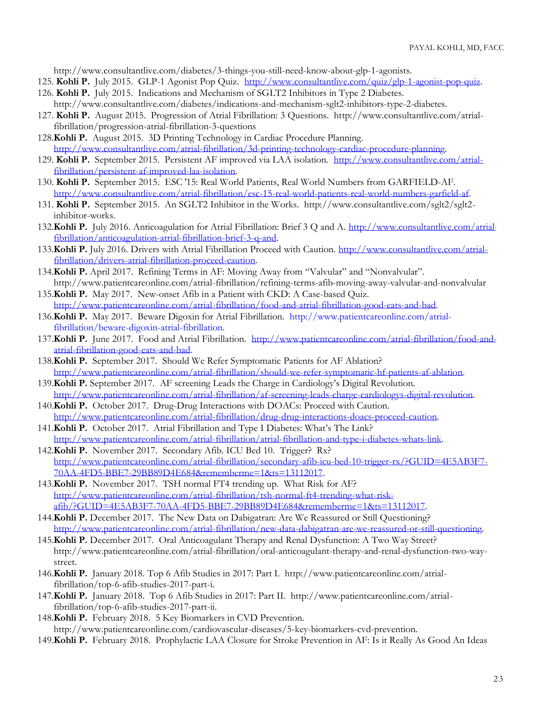http://www.consultantlive.com/diabetes/3-things-you-still-need-know-about-glp-1-agonists.

- 125. **Kohli P.** July 2015. GLP-1 Agonist Pop Quiz. [http://www.consultantlive.com/quiz/glp-1-agonist-pop-quiz.](http://www.consultantlive.com/quiz/glp-1-agonist-pop-quiz)
- 126. **Kohli P.** July 2015. Indications and Mechanism of SGLT2 Inhibitors in Type 2 Diabetes. http://www.consultantlive.com/diabetes/indications-and-mechanism-sglt2-inhibitors-type-2-diabetes.
- 127. **Kohli P.** August 2015. Progression of Atrial Fibrillation: 3 Questions. http://www.consultantlive.com/atrialfibrillation/progression-atrial-fibrillation-3-questions
- 128.**Kohli P.** August 2015. 3D Printing Technology in Cardiac Procedure Planning. [http://www.consultantlive.com/atrial-fibrillation/3d-printing-technology-cardiac-procedure-planning.](http://www.consultantlive.com/atrial-fibrillation/3d-printing-technology-cardiac-procedure-planning)
- 129. **Kohli P.** September 2015. Persistent AF improved via LAA isolation. [http://www.consultantlive.com/atrial](http://www.consultantlive.com/atrial-fibrillation/persistent-af-improved-laa-isolation)[fibrillation/persistent-af-improved-laa-isolation.](http://www.consultantlive.com/atrial-fibrillation/persistent-af-improved-laa-isolation)
- 130. **Kohli P.** September 2015. ESC '15: Real World Patients, Real World Numbers from GARFIELD-AF. [http://www.consultantlive.com/atrial-fibrillation/esc-15-real-world-patients-real-world-numbers-garfield-af.](http://www.consultantlive.com/atrial-fibrillation/esc-15-real-world-patients-real-world-numbers-garfield-af)
- 131. **Kohli P.** September 2015. An SGLT2 Inhibitor in the Works. http://www.consultantlive.com/sglt2/sglt2 inhibitor-works.
- 132.**Kohli P.** July 2016. Anticoagulation for Atrial Fibrillation: Brief 3 Q and A. [http://www.consultantlive.com/atrial](http://www.consultantlive.com/atrial-fibrillation/anticoagulation-atrial-fibrillation-brief-3-q-and)[fibrillation/anticoagulation-atrial-fibrillation-brief-3-q-and.](http://www.consultantlive.com/atrial-fibrillation/anticoagulation-atrial-fibrillation-brief-3-q-and)
- 133.**Kohli P.** July 2016. Drivers with Atrial Fibrillation Proceed with Caution. [http://www.consultantlive.com/atrial](http://www.consultantlive.com/atrial-fibrillation/drivers-atrial-fibrillation-proceed-caution)[fibrillation/drivers-atrial-fibrillation-proceed-caution.](http://www.consultantlive.com/atrial-fibrillation/drivers-atrial-fibrillation-proceed-caution)
- 134.**Kohli P.** April 2017. Refining Terms in AF: Moving Away from "Valvular" and "Nonvalvular". http://www.patientcareonline.com/atrial-fibrillation/refining-terms-afib-moving-away-valvular-and-nonvalvular
- 135.**Kohli P.** May 2017.New-onset Afib in a Patient with CKD: A Case-based Quiz. [http://www.patientcareonline.com/atrial-fibrillation/food-and-atrial-fibrillation-good-eats-and-bad.](http://www.patientcareonline.com/atrial-fibrillation/food-and-atrial-fibrillation-good-eats-and-bad)
- 136.**Kohli P.** May 2017. Beware Digoxin for Atrial Fibrillation. http://www.patientcareonline.com/atrialfibrillation/beware-digoxin-atrial-fibrillation.
- 137.**Kohli P.** June 2017. Food and Atrial Fibrillation. [http://www.patientcareonline.com/atrial-fibrillation/food-and](http://www.patientcareonline.com/atrial-fibrillation/food-and-atrial-fibrillation-good-eats-and-bad)[atrial-fibrillation-good-eats-and-bad.](http://www.patientcareonline.com/atrial-fibrillation/food-and-atrial-fibrillation-good-eats-and-bad)
- 138.**Kohli P.** September 2017. Should We Refer Symptomatic Patients for AF Ablation? [http://www.patientcareonline.com/atrial-fibrillation/should-we-refer-symptomatic-hf-patients-af-ablation.](http://www.patientcareonline.com/atrial-fibrillation/should-we-refer-symptomatic-hf-patients-af-ablation)
- 139.**Kohli P.** September 2017. AF screening Leads the Charge in Cardiology's Digital Revolution. [http://www.patientcareonline.com/atrial-fibrillation/af-screening-leads-charge-cardiologys-digital-revolution.](http://www.patientcareonline.com/atrial-fibrillation/af-screening-leads-charge-cardiologys-digital-revolution)
- 140.**Kohli P.** October 2017. Drug-Drug Interactions with DOACs: Proceed with Caution. [http://www.patientcareonline.com/atrial-fibrillation/drug-drug-interactions-doacs-proceed-caution.](http://www.patientcareonline.com/atrial-fibrillation/drug-drug-interactions-doacs-proceed-caution)
- 141.**Kohli P.** October 2017. Atrial Fibrillation and Type I Diabetes: What's The Link? [http://www.patientcareonline.com/atrial-fibrillation/atrial-fibrillation-and-type-i-diabetes-whats-link.](http://www.patientcareonline.com/atrial-fibrillation/atrial-fibrillation-and-type-i-diabetes-whats-link)
- 142.**Kohli P.** November 2017. Secondary Afib. ICU Bed 10. Trigger? Rx? [http://www.patientcareonline.com/atrial-fibrillation/secondary-afib-icu-bed-10-trigger-rx/?GUID=4E5AB3F7-](http://www.patientcareonline.com/atrial-fibrillation/secondary-afib-icu-bed-10-trigger-rx/?GUID=4E5AB3F7-70AA-4FD5-BBE7-29BB89D4E684&rememberme=1&ts=13112017) [70AA-4FD5-BBE7-29BB89D4E684&rememberme=1&ts=13112017.](http://www.patientcareonline.com/atrial-fibrillation/secondary-afib-icu-bed-10-trigger-rx/?GUID=4E5AB3F7-70AA-4FD5-BBE7-29BB89D4E684&rememberme=1&ts=13112017)
- 143.**Kohli P.** November 2017. TSH normal FT4 trending up. What Risk for AF? [http://www.patientcareonline.com/atrial-fibrillation/tsh-normal-ft4-trending-what-risk](http://www.patientcareonline.com/atrial-fibrillation/tsh-normal-ft4-trending-what-risk-afib/?GUID=4E5AB3F7-70AA-4FD5-BBE7-29BB89D4E684&rememberme=1&ts=13112017)[afib/?GUID=4E5AB3F7-70AA-4FD5-BBE7-29BB89D4E684&rememberme=1&ts=13112017.](http://www.patientcareonline.com/atrial-fibrillation/tsh-normal-ft4-trending-what-risk-afib/?GUID=4E5AB3F7-70AA-4FD5-BBE7-29BB89D4E684&rememberme=1&ts=13112017)
- 144.**Kohli P.** December 2017. The New Data on Dabigatran: Are We Reassured or Still Questioning? [http://www.patientcareonline.com/atrial-fibrillation/new-data-dabigatran-are-we-reassured-or-still-questioning.](http://www.patientcareonline.com/atrial-fibrillation/new-data-dabigatran-are-we-reassured-or-still-questioning)
- 145.**Kohli P.** December 2017. Oral Anticoagulant Therapy and Renal Dysfunction: A Two Way Street? http://www.patientcareonline.com/atrial-fibrillation/oral-anticoagulant-therapy-and-renal-dysfunction-two-waystreet.
- 146.**Kohli P.** January 2018. Top 6 Afib Studies in 2017: Part I. http://www.patientcareonline.com/atrialfibrillation/top-6-afib-studies-2017-part-i.
- 147.**Kohli P.** January 2018. Top 6 Afib Studies in 2017: Part II. http://www.patientcareonline.com/atrialfibrillation/top-6-afib-studies-2017-part-ii.
- 148.**Kohli P.** February 2018. 5 Key Biomarkers in CVD Prevention. http://www.patientcareonline.com/cardiovascular-diseases/5-key-biomarkers-cvd-prevention.
- 149.**Kohli P.** February 2018. Prophylactic LAA Closure for Stroke Prevention in AF: Is it Really As Good An Ideas